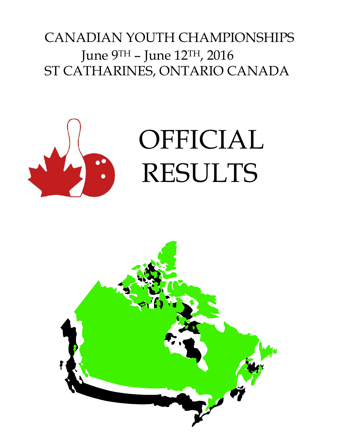# CANADIAN YOUTH CHAMPIONSHIPS June 9TH – June 12TH, 2016 ST CATHARINES, ONTARIO CANADA



# OFFICIAL RESULTS

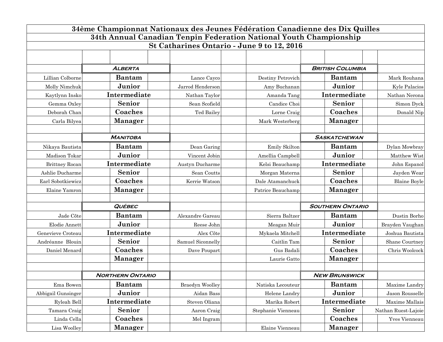|                       | 34ème Championnat Nationaux des Jeunes Fédération Canadienne des Dix Quilles |                        |                                                                    |                         |                     |
|-----------------------|------------------------------------------------------------------------------|------------------------|--------------------------------------------------------------------|-------------------------|---------------------|
|                       |                                                                              |                        | 34th Annual Canadian Tenpin Federation National Youth Championship |                         |                     |
|                       |                                                                              |                        | St Catharines Ontario - June 9 to 12, 2016                         |                         |                     |
|                       |                                                                              |                        |                                                                    |                         |                     |
|                       | <b>ALBERTA</b>                                                               |                        |                                                                    | <b>BRITISH COLUMBIA</b> |                     |
|                       |                                                                              |                        |                                                                    |                         |                     |
| Lillian Colborne      | <b>Bantam</b>                                                                | Lance Cayco            | Destiny Petrovich                                                  | <b>Bantam</b>           | Mark Rouhana        |
| Molly Nimchuk         | Junior                                                                       | Jarrod Henderson       | Amy Buchanan                                                       | Junior                  | Kyle Palacios       |
| Kaytlynn Insko        | Intermediate                                                                 | Nathan Taylor          | Amanda Tang                                                        | Intermediate            | Nathan Nerona       |
| Gemma Oxley           | Senior                                                                       | Sean Scofield          | Candice Choi                                                       | <b>Senior</b>           | Simon Dyck          |
| Deborah Chan          | Coaches                                                                      | Ted Bailey             | Lorne Craig                                                        | Coaches                 | Donald Nip          |
| Carla Bilyea          | <b>Manager</b>                                                               |                        | Mark Westerberg                                                    | <b>Manager</b>          |                     |
|                       | <b>MANITOBA</b>                                                              |                        |                                                                    | <b>SASKATCHEWAN</b>     |                     |
| Nikaya Bautista       | <b>Bantam</b>                                                                | Dean Garing            | Emily Skilton                                                      | <b>Bantam</b>           | Dylan Mowbray       |
| Madison Tokar         | Junior                                                                       | Vincent Jobin          | Amellia Campbell                                                   | Junior                  | Matthew Wist        |
| <b>Brittney Rocan</b> | Intermediate                                                                 | Austyn Ducharme        | Kelsi Beauchamp                                                    | Intermediate            | John Espanol        |
| Ashlie Ducharme       | <b>Senior</b>                                                                | Sean Coutts            | Morgan Materna                                                     | <b>Senior</b>           | Jayden Wear         |
| Earl Sobotkiewicz     | Coaches                                                                      | Kerrie Watson          | Dale Atamanchuck                                                   | Coaches                 | <b>Blaine Boyle</b> |
| Elaine Yamron         | <b>Manager</b>                                                               |                        | Patrice Beauchamp                                                  | <b>Manager</b>          |                     |
|                       |                                                                              |                        |                                                                    |                         |                     |
|                       | <b>QUÉBEC</b>                                                                |                        |                                                                    | <b>SOUTHERN ONTARIO</b> |                     |
| Jade Cõte             | <b>Bantam</b>                                                                | Alexandre Gareau       | Sierra Baltzer                                                     | <b>Bantam</b>           | Dustin Borho        |
| Elodie Annett         | Junior                                                                       | Reese John             | Meagan Muir                                                        | Junior                  | Brayden Vaughan     |
| Genevieve Croteau     | Intermediate                                                                 | Alex Cõte              | Mykaela Mitchell                                                   | Intermediate            | Joshua Bautista     |
| Andréanne Blouin      | <b>Senior</b>                                                                | Samuel Siconnelly      | Caitlin Tam                                                        | <b>Senior</b>           | Shane Courtney      |
| Daniel Menard         | Coaches                                                                      | Dave Poupart           | Gus Badali                                                         | Coaches                 | Chris Woolcock      |
|                       | <b>Manager</b>                                                               |                        | Laurie Gatto                                                       | <b>Manager</b>          |                     |
|                       |                                                                              |                        |                                                                    |                         |                     |
|                       | <b>NORTHERN ONTARIO</b>                                                      |                        |                                                                    | <b>NEW BRUNSWICK</b>    |                     |
| Ema Bowen             | <b>Bantam</b>                                                                | <b>Braedyn Woolley</b> | Natiska Lecouteur                                                  | <b>Bantam</b>           | Maxime Landry       |
| Abbigail Gunsinger    | Junior                                                                       | Aidan Bass             | Helene Landry                                                      | Junior                  | Jason Rousselle     |
| Ryleah Bell           | Intermediate                                                                 | Steven Oliana          | Marika Robert                                                      | Intermediate            | Maxime Mallais      |
| Tamara Craig          | Senior                                                                       | Aaron Craig            | Stephanie Vienneau                                                 | <b>Senior</b>           | Nathan Ruest-Lajoie |
| Linda Cella           | Coaches                                                                      | Mel Ingram             |                                                                    | Coaches                 | Yves Vienneau       |
| Lisa Woolley          | <b>Manager</b>                                                               |                        | Elaine Vienneau                                                    | <b>Manager</b>          |                     |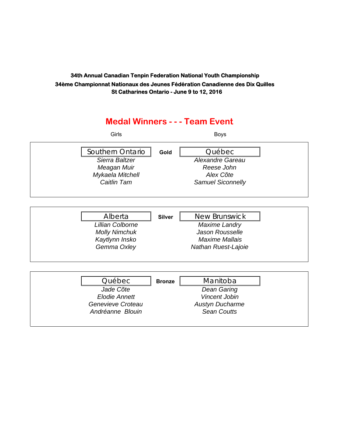### **Medal Winners - - - Team Event**

| Girls                                                                                       |               | <b>Boys</b>                                                                                              |  |
|---------------------------------------------------------------------------------------------|---------------|----------------------------------------------------------------------------------------------------------|--|
| Southern Ontario<br>Sierra Baltzer<br>Meagan Muir<br>Mykaela Mitchell<br>Caitlin Tam        | Gold          | Québec<br><b>Alexandre Gareau</b><br>Reese John<br>Alex Cõte<br>Samuel Siconnelly                        |  |
|                                                                                             |               |                                                                                                          |  |
| Alberta<br><b>Lillian Colborne</b><br><b>Molly Nimchuk</b><br>Kaytlynn Insko<br>Gemma Oxley | <b>Silver</b> | <b>New Brunswick</b><br>Maxime Landry<br>Jason Rousselle<br><b>Maxime Mallais</b><br>Nathan Ruest-Lajoie |  |
|                                                                                             |               |                                                                                                          |  |
| Québec<br>Jade Cõte<br><b>Elodie Annett</b><br>Genevieve Croteau<br>Andréanne Blouin        | <b>Bronze</b> | Manitoba<br><b>Dean Garing</b><br><b>Vincent Jobin</b><br><b>Austyn Ducharme</b><br><b>Sean Coutts</b>   |  |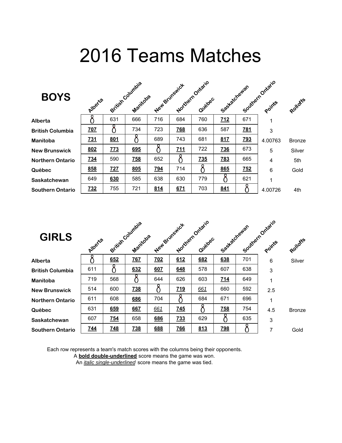# 2016 Teams Matches

| <b>BOYS</b>             | Alperte    |                 | British Countilies<br>Manitoloa | New Brunswick |            | Northern Ontario<br>Quebec | Saskatchewan |            | Southern Ontario<br>Points | Rohoffe       |
|-------------------------|------------|-----------------|---------------------------------|---------------|------------|----------------------------|--------------|------------|----------------------------|---------------|
| Alberta                 |            | 631             | 666                             | 716           | 684        | 760                        | 712          | 671        |                            |               |
| <b>British Columbia</b> | <b>Z0Z</b> |                 | 734                             | 723           | <b>768</b> | 636                        | 587          | <b>781</b> | 3                          |               |
| <b>Manitoba</b>         | <b>Z31</b> | 801             |                                 | 689           | 743        | 681                        | 817          | <u>793</u> | 4.00763                    | <b>Bronze</b> |
| <b>New Brunswick</b>    | 802        | Z <sub>23</sub> | 695                             |               | 711        | 722                        | <b>736</b>   | 673        | 5                          | Silver        |
| <b>Northern Ontario</b> | <b>734</b> | 590             | <b>Z58</b>                      | 652           | රි         | 735                        | <b>783</b>   | 665        | $\overline{4}$             | 5th           |
| Québec                  | 858        | 727             | 805                             | <u>794</u>    | 714        | 8                          | 865          | Z52        | 6                          | Gold          |
| Saskatchewan            | 649        | 630             | 585                             | 638           | 630        | 779                        |              | 621        | 1                          |               |
| <b>Southern Ontario</b> | <u>732</u> | 755             | 721                             | 814           | 671        | 703                        | 841          |            | 4.00726                    | 4th           |

| <b>GIRLS</b>            | Alberta    |            | British Columbia<br>Manitoba | New Brunswick |                   | Northern Ontario<br>Quebec | Seattletchewan |     | Southern Ontario<br>Points | Rohoffe       |
|-------------------------|------------|------------|------------------------------|---------------|-------------------|----------------------------|----------------|-----|----------------------------|---------------|
| Alberta                 |            | 652        | <b>767</b>                   | 702           | 612               | 682                        | 638            | 701 | 6                          | Silver        |
| <b>British Columbia</b> | 611        |            | 632                          | 60Z           | 648               | 578                        | 607            | 638 | $\mathbf{3}$               |               |
| <b>Manitoba</b>         | 719        | 568        |                              | 644           | 626               | 603                        | 714            | 649 | 1                          |               |
| <b>New Brunswick</b>    | 514        | 600        | <b>Z38</b>                   |               | <u>719</u>        | 661                        | 660            | 592 | 2.5                        |               |
| <b>Northern Ontario</b> | 611        | 608        | 686                          | 704           |                   | 684                        | 671            | 696 | 1                          |               |
| Québec                  | 631        | 659        | 667                          | 661           | $\underline{745}$ | 8                          | <b>758</b>     | 754 | 4.5                        | <b>Bronze</b> |
| Saskatchewan            | 607        | <b>754</b> | 658                          | 686           | <b>Z33</b>        | 629                        |                | 635 | 3                          |               |
| <b>Southern Ontario</b> | <u>744</u> | <b>748</b> | <b>Z38</b>                   | 688           | <b>Z66</b>        | 813                        | <b>798</b>     |     |                            | Gold          |

Each row represents a team's match scores with the columns being their opponents.

A **bold double-underlined** score means the game was won.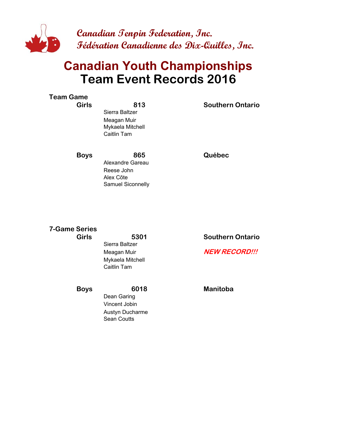

## **Team Event Records 2016 Canadian Youth Championships**

| <b>Team Game</b> |                                                                         |                         |
|------------------|-------------------------------------------------------------------------|-------------------------|
| <b>Girls</b>     | 813<br>Sierra Baltzer<br>Meagan Muir<br>Mykaela Mitchell<br>Caitlin Tam | <b>Southern Ontario</b> |
| -                | ^^~                                                                     | $\sim$ $\sim$ $\sim$    |

**Boys 865 QB Québec** Alexandre Gareau Reese John Alex Cõte Samuel Siconnelly

**7-Game Series**

## Sierra Baltzer Mykaela Mitchell Caitlin Tam

Dean Garing Vincent Jobin Austyn Ducharme Sean Coutts

**Girls 5301 SO Southern Ontario**

Meagan Muir **NEW RECORD!!!** 

**Boys 6018 MB Manitoba**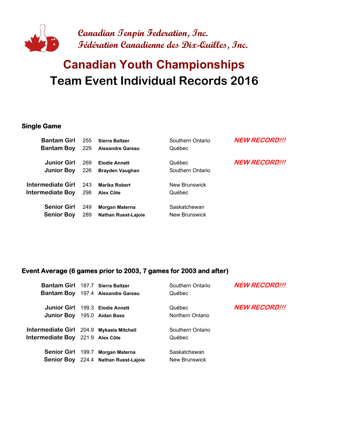

# **Team Event Individual Records 2016 Canadian Youth Championships**

#### **Single Game**

| <b>Bantam Girl</b> | 255 | Sierra Baltzer             | Southern Ontario | <b>NEW RECORD!!!</b> |
|--------------------|-----|----------------------------|------------------|----------------------|
| <b>Bantam Boy</b>  | 229 | <b>Alexandre Gareau</b>    | Québec           |                      |
| <b>Junior Girl</b> | 269 | <b>Elodie Annett</b>       | Québec           | <b>NEW RECORD!!!</b> |
| <b>Junior Boy</b>  | 226 | <b>Brayden Vaughan</b>     | Southern Ontario |                      |
| Intermediate Girl  | 243 | <b>Marika Robert</b>       | New Brunswick    |                      |
| Intermediate Boy   | 298 | Alex Cõte                  | Québec           |                      |
| <b>Senior Girl</b> | 249 | <b>Morgan Materna</b>      | Saskatchewan     |                      |
| <b>Senior Boy</b>  | 289 | <b>Nathan Ruest-Lajoie</b> | New Brunswick    |                      |

#### **Event Average (6 games prior to 2003, 7 games for 2003 and after)**

| Bantam Girl 187.7 Sierra Baltzer                                             | Bantam Boy 197.4 Alexandre Gareau                                        | Southern Ontario<br>Québec    | <b>NEW RECORD!!!</b> |
|------------------------------------------------------------------------------|--------------------------------------------------------------------------|-------------------------------|----------------------|
| Junior Boy 195.0 Aidan Bass                                                  | Junior Girl 199.3 Elodie Annett                                          | Québec<br>Northern Ontario    | <b>NEW RECORD!!!</b> |
| Intermediate Girl 204.9 Mykaela Mitchell<br>Intermediate Boy 221.9 Alex Cõte |                                                                          | Southern Ontario<br>Québec    |                      |
|                                                                              | Senior Girl 199.7 Morgan Materna<br>Senior Boy 224.4 Nathan Ruest-Lajoie | Saskatchewan<br>New Brunswick |                      |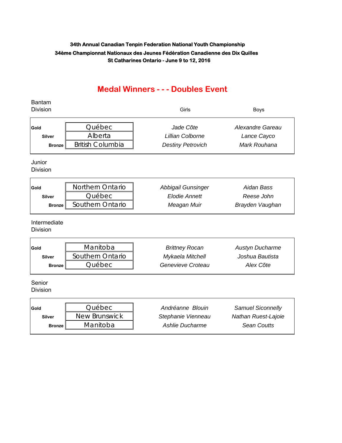### **Medal Winners - - - Doubles Event**

| <b>Bantam</b><br><b>Division</b> |                         | Girls                     | <b>Boys</b>            |
|----------------------------------|-------------------------|---------------------------|------------------------|
| Gold                             | Québec                  | Jade Cõte                 | Alexandre Gareau       |
| <b>Silver</b>                    | Alberta                 | <b>Lillian Colborne</b>   | Lance Cayco            |
| <b>Bronze</b>                    | <b>British Columbia</b> | <b>Destiny Petrovich</b>  | Mark Rouhana           |
| Junior<br><b>Division</b>        |                         |                           |                        |
| Gold                             | Northern Ontario        | <b>Abbigail Gunsinger</b> | Aidan Bass             |
| <b>Silver</b>                    | Québec                  | <b>Elodie Annett</b>      | Reese John             |
| <b>Bronze</b>                    | Southern Ontario        | Meagan Muir               | Brayden Vaughan        |
| Intermediate<br>Division         |                         |                           |                        |
| Gold                             | Manitoba                | <b>Brittney Rocan</b>     | <b>Austyn Ducharme</b> |
| <b>Silver</b>                    | Southern Ontario        | Mykaela Mitchell          | Joshua Bautista        |
| <b>Bronze</b>                    | Québec                  | Genevieve Croteau         | Alex Cõte              |
| Senior<br><b>Division</b>        |                         |                           |                        |
| Gold                             | Québec                  | Andréanne Blouin          | Samuel Siconnelly      |
| <b>Silver</b>                    | <b>New Brunswick</b>    | Stephanie Vienneau        | Nathan Ruest-Lajoie    |
| <b>Bronze</b>                    | Manitoba                | <b>Ashlie Ducharme</b>    | <b>Sean Coutts</b>     |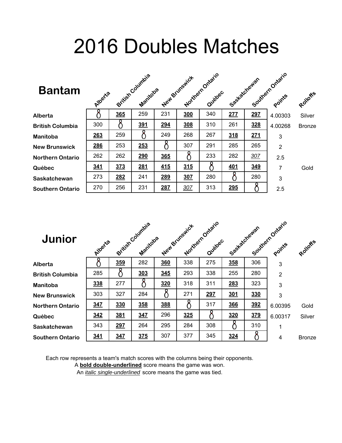# 2016 Doubles Matches

| <b>Bantam</b>           | Alberte    |            | British Columbia<br>Manicoba |     | New Brunswick | Northern Ontario<br>Quebec | Seekatchewan |            | Southern Ontario<br>Points | Rolloffs      |
|-------------------------|------------|------------|------------------------------|-----|---------------|----------------------------|--------------|------------|----------------------------|---------------|
| Alberta                 |            | <b>365</b> | 259                          | 231 | 300           | 340                        | 277          | 297        | 4.00303                    | Silver        |
| <b>British Columbia</b> | 300        |            | <u>391</u>                   | 294 | 308           | 310                        | 261          | 328        | 4.00268                    | <b>Bronze</b> |
| Manitoba                | 263        | 259        |                              | 249 | 268           | 267                        | 318          | <u>271</u> | 3                          |               |
| <b>New Brunswick</b>    | <u>286</u> | 253        | 253                          |     | 307           | 291                        | 285          | 265        | $\overline{2}$             |               |
| <b>Northern Ontario</b> | 262        | 262        | 290                          | 365 |               | 233                        | 282          | 307        | 2.5                        |               |
| Québec                  | 341        | 373        | 281                          | 415 | 315           |                            | <u>401</u>   | 349        | $\overline{7}$             | Gold          |
| Saskatchewan            | 273        | 282        | 241                          | 289 | 307           | 280                        |              | 280        | 3                          |               |
| <b>Southern Ontario</b> | 270        | 256        | 231                          | 287 | 307           | 313                        | 295          |            | 2.5                        |               |

| Junior                  | Alberte |            | British Columbia<br>Manitoba |     | New Brunswick | Northern Ontario<br>Quebec | Socketatorewan |     | Southern Ontario<br>Points | Rohoffe       |
|-------------------------|---------|------------|------------------------------|-----|---------------|----------------------------|----------------|-----|----------------------------|---------------|
| Alberta                 |         | 359        | 282                          | 360 | 338           | 275                        | 358            | 306 | 3                          |               |
| <b>British Columbia</b> | 285     |            | 303                          | 345 | 293           | 338                        | 255            | 280 | $\overline{2}$             |               |
| <b>Manitoba</b>         | 338     | 277        |                              | 320 | 318           | 311                        | 283            | 323 | 3                          |               |
| <b>New Brunswick</b>    | 303     | 327        | 284                          |     | 271           | 297                        | 301            | 330 | 3                          |               |
| <b>Northern Ontario</b> | 347     | 330        | 358                          | 388 |               | 317                        | 366            | 392 | 6.00395                    | Gold          |
| Québec                  | 342     | <u>381</u> | 347                          | 296 | 325           |                            | 320            | 379 | 6.00317                    | Silver        |
| Saskatchewan            | 343     | 297        | 264                          | 295 | 284           | 308                        |                | 310 |                            |               |
| <b>Southern Ontario</b> | 341     | 347        | <b>375</b>                   | 307 | 377           | 345                        | 324            |     | 4                          | <b>Bronze</b> |

Each row represents a team's match scores with the columns being their opponents.

A **bold double-underlined** score means the game was won.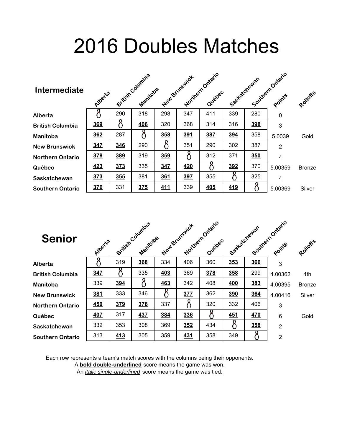# 2016 Doubles Matches

| <b>Intermediate</b>     | Alberta |     | British Columbia<br>Manitoba |            | New Brunswick | Northern Ontario<br>Quebec | Sastatchewan |            | Southern Ontario<br>Points | Rohoffe       |
|-------------------------|---------|-----|------------------------------|------------|---------------|----------------------------|--------------|------------|----------------------------|---------------|
| Alberta                 |         | 290 | 318                          | 298        | 347           | 411                        | 339          | 280        | $\mathbf 0$                |               |
| <b>British Columbia</b> | 369     |     | 406                          | 320        | 368           | 314                        | 316          | 398        | 3                          |               |
| Manitoba                | 362     | 287 |                              | 358        | <u>391</u>    | 387                        | 394          | 358        | 5.0039                     | Gold          |
| <b>New Brunswick</b>    | 347     | 346 | 290                          |            | 351           | 290                        | 302          | 387        | $\overline{2}$             |               |
| <b>Northern Ontario</b> | 378     | 389 | 319                          | <b>359</b> |               | 312                        | 371          | <b>350</b> | $\overline{4}$             |               |
| Québec                  | 423     | 373 | 335                          | 347        | 420           |                            | 392          | 370        | 5.00359                    | <b>Bronze</b> |
| Saskatchewan            | 373     | 355 | 381                          | 361        | 397           | 355                        |              | 325        | $\overline{4}$             |               |
| <b>Southern Ontario</b> | 376     | 331 | 375                          | 411        | 339           | 405                        | 419          |            | 5.00369                    | Silver        |

| <b>Senior</b>           | Alberte    |     | British Columbia<br>Manitoba |     | New Britishick | Morthern Ontario<br>Quebec | Socketatorewan |     | Southern Ontario<br>Points | Rohoffe       |
|-------------------------|------------|-----|------------------------------|-----|----------------|----------------------------|----------------|-----|----------------------------|---------------|
| Alberta                 |            | 319 | 368                          | 334 | 406            | 360                        | 353            | 366 | 3                          |               |
| <b>British Columbia</b> | 347        |     | 335                          | 403 | 369            | 378                        | 358            | 299 | 4.00362                    | 4th           |
| <b>Manitoba</b>         | 339        | 394 |                              | 463 | 342            | 408                        | 400            | 383 | 4.00395                    | <b>Bronze</b> |
| <b>New Brunswick</b>    | 381        | 333 | 346                          |     | 377            | 362                        | 390            | 364 | 4.00416                    | Silver        |
| <b>Northern Ontario</b> | <b>450</b> | 379 | 376                          | 337 |                | 320                        | 332            | 406 | 3                          |               |
| Québec                  | 407        | 317 | 437                          | 384 | 336            |                            | 451            | 470 | $6\phantom{1}6$            | Gold          |
| Saskatchewan            | 332        | 353 | 308                          | 369 | 352            | 434                        | ( )            | 358 | $\overline{2}$             |               |
| <b>Southern Ontario</b> | 313        | 413 | 305                          | 359 | <u>431</u>     | 358                        | 349            |     | $\overline{2}$             |               |

Each row represents a team's match scores with the columns being their opponents.

A **bold double-underlined** score means the game was won.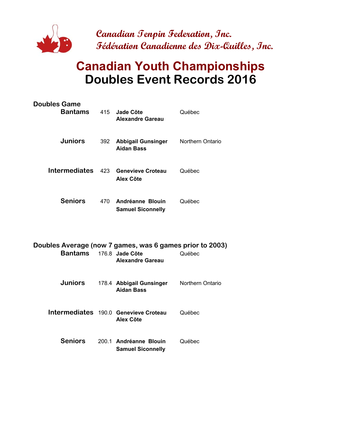

# **Canadian Youth Championships Doubles Event Records 2016**

| <b>Doubles Game</b><br>Bantams                           |     | 415 Jade Cõte<br><b>Alexandre Gareau</b>         | Québec           |
|----------------------------------------------------------|-----|--------------------------------------------------|------------------|
| Juniors                                                  | 392 | <b>Abbigail Gunsinger</b><br><b>Aidan Bass</b>   | Northern Ontario |
|                                                          |     | Intermediates 423 Genevieve Croteau<br>Alex Cõte | Québec           |
| <b>Seniors</b>                                           |     | 470 Andréanne Blouin<br><b>Samuel Siconnelly</b> | Québec           |
| Doubles Average (now 7 games, was 6 games prior to 2003) |     |                                                  |                  |

| Bantams 176.8 Jade Cõte | Alexandre Gareau                                   | Québec           |
|-------------------------|----------------------------------------------------|------------------|
| <b>Juniors</b>          | 178.4 Abbigail Gunsinger<br><b>Aidan Bass</b>      | Northern Ontario |
|                         | Intermediates 190.0 Genevieve Croteau<br>Alex Cõte | Québec           |
| <b>Seniors</b>          | 200.1 Andréanne Blouin<br><b>Samuel Siconnelly</b> | Québec           |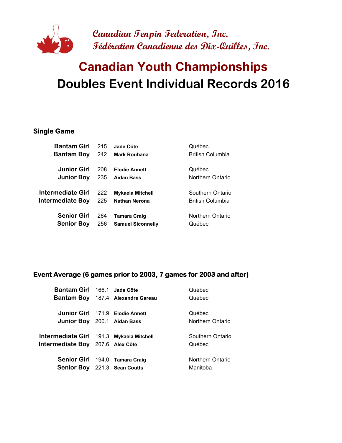

# **Doubles Event Individual Records 2016 Canadian Youth Championships**

#### **Single Game**

| <b>Bantam Girl</b> | 215 | Jade Cõte               | Québec                  |
|--------------------|-----|-------------------------|-------------------------|
| <b>Bantam Boy</b>  | 242 | <b>Mark Rouhana</b>     | <b>British Columbia</b> |
|                    |     |                         |                         |
| <b>Junior Girl</b> | 208 | <b>Elodie Annett</b>    | Québec                  |
| <b>Junior Boy</b>  | 235 | <b>Aidan Bass</b>       | Northern Ontario        |
|                    |     |                         |                         |
| Intermediate Girl  | 222 | <b>Mykaela Mitchell</b> | Southern Ontario        |
| Intermediate Boy   | 225 | <b>Nathan Nerona</b>    | <b>British Columbia</b> |
|                    |     |                         |                         |
| <b>Senior Girl</b> | 264 | <b>Tamara Craig</b>     | Northern Ontario        |
|                    |     |                         |                         |

#### **Event Average (6 games prior to 2003, 7 games for 2003 and after)**

| Bantam Girl 166.1 Jade Cõte              |                                          | Québec           |
|------------------------------------------|------------------------------------------|------------------|
|                                          | <b>Bantam Boy</b> 187.4 Alexandre Gareau | Québec           |
|                                          | Junior Girl 171.9 Elodie Annett          | Québec           |
| Junior Boy 200.1 Aidan Bass              |                                          | Northern Ontario |
|                                          |                                          |                  |
| Intermediate Girl 191.3 Mykaela Mitchell |                                          | Southern Ontario |
| Intermediate Boy 207.6 Alex Cõte         |                                          | Québec           |
|                                          |                                          |                  |
| Senior Girl 194.0 Tamara Craig           |                                          | Northern Ontario |
| <b>Senior Boy</b> 221.3 Sean Coutts      |                                          | Manitoba         |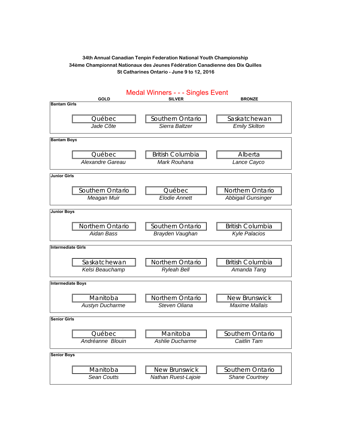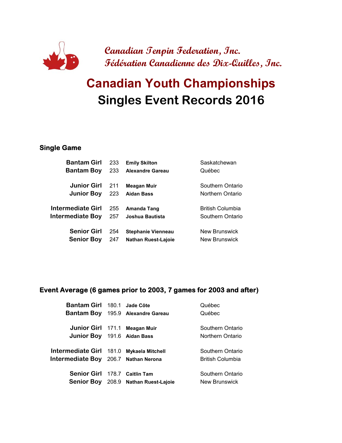

# **Singles Event Records 2016 Canadian Youth Championships**

#### **Single Game**

| 233 | <b>Emily Skilton</b>       | Saskatchewan            |
|-----|----------------------------|-------------------------|
| 233 | <b>Alexandre Gareau</b>    | Québec                  |
| 211 | <b>Meagan Muir</b>         | Southern Ontario        |
| 223 | <b>Aidan Bass</b>          | Northern Ontario        |
| 255 | Amanda Tang                | <b>British Columbia</b> |
| 257 | Joshua Bautista            | Southern Ontario        |
| 254 | <b>Stephanie Vienneau</b>  | New Brunswick           |
| 247 | <b>Nathan Ruest-Lajoie</b> | New Brunswick           |
|     |                            |                         |

#### **Event Average (6 games prior to 2003, 7 games for 2003 and after)**

| Bantam Girl 180.1 Jade Cõte                     |                                          | Québec                  |
|-------------------------------------------------|------------------------------------------|-------------------------|
|                                                 | <b>Bantam Boy</b> 195.9 Alexandre Gareau | Québec                  |
|                                                 |                                          |                         |
| Junior Girl 171.1 Meagan Muir                   |                                          | Southern Ontario        |
| Junior Boy 191.6 Aidan Bass                     |                                          | Northern Ontario        |
|                                                 |                                          |                         |
| <b>Intermediate Girl</b> 181.0 Mykaela Mitchell |                                          | Southern Ontario        |
| Intermediate Boy 206.7 Nathan Nerona            |                                          | <b>British Columbia</b> |
|                                                 |                                          |                         |
| Senior Girl 178.7 Caitlin Tam                   |                                          | Southern Ontario        |
|                                                 | Senior Boy 208.9 Nathan Ruest-Lajoie     | New Brunswick           |
|                                                 |                                          |                         |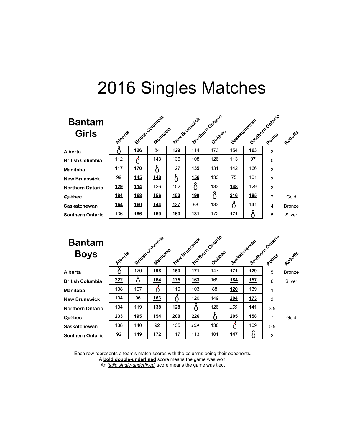### **Banta Girls**

| <b>Bantam</b><br><b>Girls</b> | Alperte     |            | British Columbia<br>Manitoba |            | New Brunswick | Northern Ontario<br>Quebec | Sostatchewan | Southern Ontario |             | Rohoffe       |
|-------------------------------|-------------|------------|------------------------------|------------|---------------|----------------------------|--------------|------------------|-------------|---------------|
| Alberta                       |             | 126        | 84                           | <u>129</u> | 114           | 173                        | 154          | <u>163</u>       | 3           |               |
| <b>British Columbia</b>       | 112         |            | 143                          | 136        | 108           | 126                        | 113          | 97               | $\mathbf 0$ |               |
| Manitoba                      | <u> 117</u> | 170        | ጾ                            | 127        | 135           | 131                        | 142          | 166              | 3           |               |
| <b>New Brunswick</b>          | 99          | 145        | 148                          |            | 156           | 133                        | 75           | 101              | 3           |               |
| <b>Northern Ontario</b>       | <u>129</u>  | <b>114</b> | 126                          | 152        |               | 133                        | <u>148</u>   | 129              | 3           |               |
| Québec                        | <u>184</u>  | <b>168</b> | <b>156</b>                   | 153        | <u>199</u>    |                            | 216          | <b>185</b>       | 7           | Gold          |
| Saskatchewan                  | <u>164</u>  | <b>160</b> | <u>144</u>                   | 137        | 98            | 133                        |              | 141              | 4           | <b>Bronze</b> |
| Southern Ontario              | 136         | 186        | 169                          | 163        | 131           | 172                        | 171          |                  | 5           | Silver        |

| <b>Bantam</b><br><b>Boys</b> | Alberta |     | British Columbia<br>Manitoba |            | Northern Ontario<br>New Brunswick | Quebec |            | Southern Ontario<br>Seekatchewan | Points         | Rolloffs      |
|------------------------------|---------|-----|------------------------------|------------|-----------------------------------|--------|------------|----------------------------------|----------------|---------------|
| Alberta                      |         | 120 | 198                          | 153        | 171                               | 147    | 171        | 129                              | 5              | <b>Bronze</b> |
| <b>British Columbia</b>      | 222     |     | <u>164</u>                   | 175        | <b>163</b>                        | 169    | 184        | 157                              | 6              | Silver        |
| Manitoba                     | 138     | 107 |                              | 110        | 103                               | 88     | <u>120</u> | 139                              | 1              |               |
| <b>New Brunswick</b>         | 104     | 96  | 163                          |            | 120                               | 149    | <u>204</u> | <u>173</u>                       | 3              |               |
| <b>Northern Ontario</b>      | 134     | 119 | 138                          | <u>128</u> |                                   | 126    | 159        | <u>141</u>                       | 3.5            |               |
| Québec                       | 233     | 195 | 154                          | 200        | 226                               | ŏ      | 205        | 158                              | 7              | Gold          |
| Saskatchewan                 | 138     | 140 | 92                           | 135        | <u>159</u>                        | 138    |            | 109                              | 0.5            |               |
| Southern Ontario             | 92      | 149 | 172                          | 117        | 113                               | 101    | 147        |                                  | $\overline{2}$ |               |

A **bold double-underlined** score means the game was won. Each row represents a team's match scores with the columns being their opponents.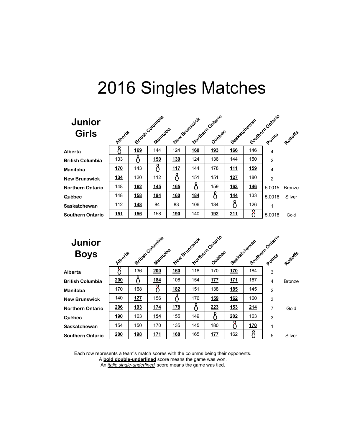### **Junior Girls**

| <b>Junior</b><br><b>Girls</b> | Alperte    |            | British Columbia<br>Manitoba |                 | New Brunswick | Northern Ontario<br>Quebec | Sostatchewan |            | Southern Ontario | Rolloffs      |
|-------------------------------|------------|------------|------------------------------|-----------------|---------------|----------------------------|--------------|------------|------------------|---------------|
| Alberta                       |            | <u>169</u> | 144                          | 124             | <b>160</b>    | <u>193</u>                 | 166          | 146        | $\overline{4}$   |               |
| <b>British Columbia</b>       | 133        | 8          | <b>150</b>                   | <u>130</u>      | 124           | 136                        | 144          | 150        | $\overline{2}$   |               |
| Manitoba                      | 170        | 143        |                              | 11 <sub>Z</sub> | 144           | 178                        | 111          | 159        | $\overline{4}$   |               |
| <b>New Brunswick</b>          | <u>134</u> | 120        | 112                          |                 | 151           | 151                        | <u>127</u>   | 180        | $\overline{2}$   |               |
| <b>Northern Ontario</b>       | 148        | <b>162</b> | <b>145</b>                   | <b>165</b>      |               | 159                        | 163          | <u>146</u> | 5.0015           | <b>Bronze</b> |
| Québec                        | 148        | <b>158</b> | <u>194</u>                   | <b>160</b>      | <u>184</u>    |                            | <u>144</u>   | 133        | 5.0016           | Silver        |
| Saskatchewan                  | 112        | 148        | 84                           | 83              | 106           | 134                        |              | 126        |                  |               |
| Southern Ontario              | 151        | 156        | 158                          | 190             | 140           | 192                        | 211          |            | 5.0018           | Gold          |

# **Junior**

| <b>Junior</b><br><b>Boys</b> | Alberte |            | exitist Country's<br>Manitoba |            | New Brunswick | Northern Ontario<br>Quebec | Saskatchewan |            | Southern Ontario<br>Points | Rolloffs      |
|------------------------------|---------|------------|-------------------------------|------------|---------------|----------------------------|--------------|------------|----------------------------|---------------|
| Alberta                      |         | 136        | 200                           | 160        | 118           | 170                        | 170          | 184        | 3                          |               |
| <b>British Columbia</b>      | 200     |            | 184                           | 106        | 154           | 177                        | 171          | 167        | 4                          | <b>Bronze</b> |
| Manitoba                     | 170     | 168        | 8                             | <u>182</u> | 151           | 138                        | <u>185</u>   | 145        | $\overline{2}$             |               |
| <b>New Brunswick</b>         | 140     | 127        | 156                           | δ          | 176           | <b>159</b>                 | <b>162</b>   | 160        | 3                          |               |
| <b>Northern Ontario</b>      | 206     | <u>193</u> | 174                           | <u>178</u> |               | 223                        | <u>153</u>   | 214        | 7                          | Gold          |
| Québec                       | 190     | 163        | 154                           | 155        | 149           | 8                          | 202          | 163        | 3                          |               |
| Saskatchewan                 | 154     | 150        | 170                           | 135        | 145           | 180                        | 8            | <b>170</b> | 1                          |               |
| Southern Ontario             | 200     | <u>198</u> | 171                           | <b>168</b> | 165           | 177                        | 162          |            | 5                          | Silver        |

Each row represents a team's match scores with the columns being their opponents.

A **bold double-underlined** score means the game was won.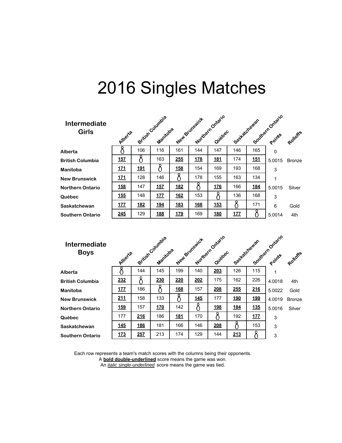| <b>Intermediate</b><br><b>Girls</b> | Alberta    |             | British Country's<br>Manitoba |            | New Brunswick | Northern Ontario<br>Quebec | Socketchewan |            | Southern Ortario<br>Points | Rotloffs      |
|-------------------------------------|------------|-------------|-------------------------------|------------|---------------|----------------------------|--------------|------------|----------------------------|---------------|
| Alberta                             |            | 106         | 116                           | 161        | 144           | 147                        | 146          | 165        | $\Omega$                   |               |
| <b>British Columbia</b>             | 157        |             | 163                           | 255        | <u>178</u>    | <u>181</u>                 | 174          | 151        | 5.0015                     | <b>Bronze</b> |
| Manitoba                            | 171        | <u> 191</u> | Ω                             | 158        | 154           | 169                        | 193          | 168        | 3                          |               |
| <b>New Brunswick</b>                | <u>171</u> | 128         | 146                           |            | 178           | 155                        | 163          | 134        | 1                          |               |
| <b>Northern Ontario</b>             | <u>158</u> | 147         | 15Z                           | 182        |               | 176                        | 166          | <b>184</b> | 5.0015                     | Silver        |
| Québec                              | <b>155</b> | 148         | 177                           | 162        | 153           |                            | 136          | 168        | 3                          |               |
| Saskatchewan                        | 177        | <u>182</u>  | <u> 194</u>                   | <u>183</u> | <b>168</b>    | <b>153</b>                 | 8            | 171        | 6                          | Gold          |
| <b>Southern Ontario</b>             | 245        | 129         | 188                           | 179        | 169           | 180                        | <u> 177</u>  |            | 5.0014                     | 4th           |

| <b>Intermediate</b><br><b>Boys</b> | Alberte     |            | British Countil<br>Manitoba |            | New Brunswick | Northern Ontario<br>Quebec | Socketdrewan |            | Southern Ontario<br>Points | Rohoffs       |
|------------------------------------|-------------|------------|-----------------------------|------------|---------------|----------------------------|--------------|------------|----------------------------|---------------|
| Alberta                            |             | 144        | 145                         | 199        | 140           | 203                        | 126          | 115        | 1                          |               |
| <b>British Columbia</b>            | 232         |            | 230                         | 220        | 202           | 175                        | 162          | 226        | 4.0018                     | 4th           |
| Manitoba                           | 177         | 186        |                             | <b>168</b> | 157           | <b>208</b>                 | 255          | 216        | 5.0022                     | Gold          |
| <b>New Brunswick</b>               | 211         | 158        | 133                         |            | <u>145</u>    | 177                        | <u>190</u>   | <u>199</u> | 4.0019                     | <b>Bronze</b> |
| <b>Northern Ontario</b>            | <u>159</u>  | 157        | <u>170</u>                  | 142        |               | <u>198</u>                 | <b>184</b>   | <b>135</b> | 5.0016                     | Silver        |
| Québec                             | 177         | 216        | 186                         | 181        | 170           |                            | 192          | 177        | 3                          |               |
| Saskatchewan                       | 145         | <u>186</u> | 181                         | 166        | 146           | 208                        |              | 153        | 3                          |               |
| <b>Southern Ontario</b>            | <u> 173</u> | 257        | 213                         | 174        | 129           | 144                        | 213          |            | 3                          |               |

Each row represents a team's match scores with the columns being their opponents. A **bold double-underlined** score means the game was won.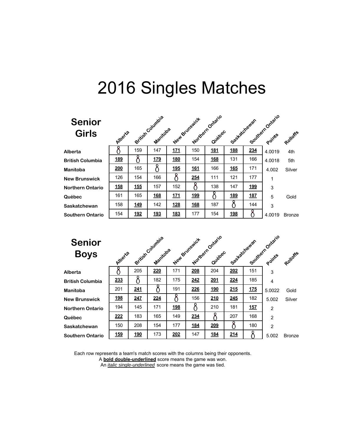### **Senio Girls**

| <b>Senior</b><br><b>Girls</b> | Alperte    |            | British Columbia<br>Manitoba |            | New Brunswick | Northern Ontario<br>Quebec | Sostatchewan |            | Southern Ontario<br>Points | Rohoffe       |
|-------------------------------|------------|------------|------------------------------|------------|---------------|----------------------------|--------------|------------|----------------------------|---------------|
| Alberta                       |            | 159        | 147                          | <u>171</u> | 150           | <u>181</u>                 | 188          | 234        | 4.0019                     | 4th           |
| <b>British Columbia</b>       | <u>189</u> | δ          | <u>179</u>                   | <b>180</b> | 154           | <b>168</b>                 | 131          | 166        | 4.0018                     | 5th           |
| Manitoba                      | 200        | 165        |                              | 195        | 161           | 166                        | 165          | 171        | 4.002                      | Silver        |
| <b>New Brunswick</b>          | 126        | 154        | 166                          |            | 254           | 111                        | 121          | 177        | 1                          |               |
| <b>Northern Ontario</b>       | <u>158</u> | 155        | 157                          | 152        |               | 138                        | 147          | <u>199</u> | 3                          |               |
| Québec                        | 161        | 165        | <b>168</b>                   | <u>171</u> | <u>199</u>    | $\delta$                   | <b>189</b>   | <b>187</b> | 5                          | Gold          |
| Saskatchewan                  | 158        | <u>149</u> | 142                          | <u>128</u> | <b>168</b>    | 187                        |              | 144        | 3                          |               |
| Southern Ontario              | 154        | 192        | 193                          | 183        | 177           | 154                        | 198          |            | 4.0019                     | <b>Bronze</b> |

| <b>Senior</b> |
|---------------|
| Rovs          |

| <b>Senior</b><br><b>Boys</b> | Alberta    |            | British Country's<br>Manitoba |            | New Brunswick | Northern Ontario<br>Quebec | Saskatchewan |     | Southern Ontario | Rolloffs      |
|------------------------------|------------|------------|-------------------------------|------------|---------------|----------------------------|--------------|-----|------------------|---------------|
| Alberta                      |            | 205        | 220                           | 171        | 208           | 204                        | 202          | 151 | 3                |               |
| <b>British Columbia</b>      | 233        |            | 182                           | 175        | 242           | 201                        | 224          | 185 | $\overline{4}$   |               |
| Manitoba                     | 201        | 241        | Ŏ                             | 191        | 226           | <u>190</u>                 | 215          | 175 | 5.0022           | Gold          |
| <b>New Brunswick</b>         | <u>198</u> | 247        | 224                           |            | 156           | 210                        | 245          | 182 | 5.002            | Silver        |
| <b>Northern Ontario</b>      | 194        | 145        | 171                           | <u>198</u> | 8             | 210                        | 181          | 157 | $\overline{2}$   |               |
| Québec                       | 222        | 183        | 165                           | 149        | 234           | ጸ                          | 207          | 168 | $\overline{2}$   |               |
| Saskatchewan                 | 150        | 208        | 154                           | 177        | <b>184</b>    | 209                        |              | 180 | $\overline{2}$   |               |
| Southern Ontario             | <u>159</u> | <u>190</u> | 173                           | 202        | 147           | <b>184</b>                 | 214          |     | 5.002            | <b>Bronze</b> |

Each row represents a team's match scores with the columns being their opponents.

A **bold double-underlined** score means the game was won.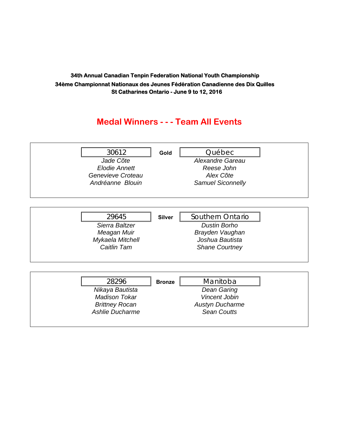### **Medal Winners - - - Team All Events**

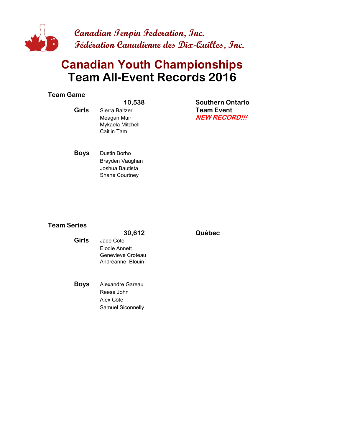

## **Team All-Event Records 2016 Canadian Youth Championships**

#### **Team Game**

Mykaela Mitchell Caitlin Tam

**10,538 SO Southern Ontario Girls** Sierra Baltzer **Team Event** Meagan Muir **NEW RECORD!!!** 

**Boys** Dustin Borho Brayden Vaughan Joshua Bautista Shane Courtney

#### **Team Series**

**30,612 QB Québec Girls** Jade Cõte Elodie Annett Genevieve Croteau Andréanne Blouin **Boys** Alexandre Gareau Reese John

Alex Cõte Samuel Siconnelly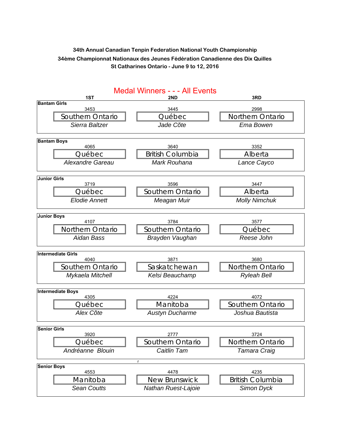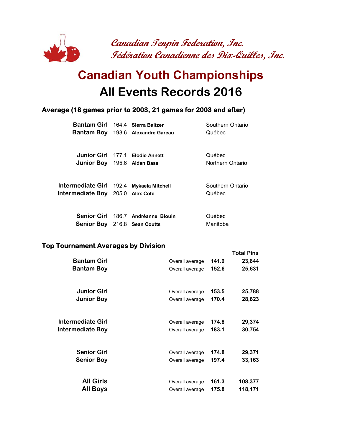

# **All Events Records 2016 Canadian Youth Championships**

### **Average (18 games prior to 2003, 21 games for 2003 and after)**

| <b>Bantam Girl</b> 164.4 Sierra Baltzer  |                                          | Southern Ontario |
|------------------------------------------|------------------------------------------|------------------|
|                                          | <b>Bantam Boy</b> 193.6 Alexandre Gareau | Québec           |
|                                          |                                          |                  |
|                                          | Junior Girl 177.1 Elodie Annett          | Québec           |
| <b>Junior Boy</b> 195.6 Aidan Bass       |                                          | Northern Ontario |
|                                          |                                          |                  |
| Intermediate Girl 192.4 Mykaela Mitchell |                                          | Southern Ontario |
| Intermediate Boy 205.0 Alex Cõte         |                                          | Québec           |
|                                          |                                          |                  |
|                                          | Senior Girl 186.7 Andréanne Blouin       | Québec           |
| <b>Senior Boy</b> 216.8 Sean Coutts      |                                          | Manitoba         |

#### **Top Tournament Averages by Division**

| <b>Bantam Girl</b><br><b>Bantam Boy</b> | Overall average<br>Overall average | 141.9<br>152.6 | <b>Total Pins</b><br>23,844<br>25,631 |
|-----------------------------------------|------------------------------------|----------------|---------------------------------------|
| <b>Junior Girl</b>                      | Overall average                    | 153.5          | 25,788                                |
| <b>Junior Boy</b>                       | Overall average                    | 170.4          | 28,623                                |
| <b>Intermediate Girl</b>                | Overall average                    | 174.8          | 29,374                                |
| Intermediate Boy                        | Overall average                    | 183.1          | 30,754                                |
| <b>Senior Girl</b>                      | Overall average                    | 174.8          | 29,371                                |
| <b>Senior Boy</b>                       | Overall average                    | 197.4          | 33,163                                |
| <b>All Girls</b>                        | Overall average                    | 161.3          | 108,377                               |
| <b>All Boys</b>                         | Overall average                    | 175.8          | 118,171                               |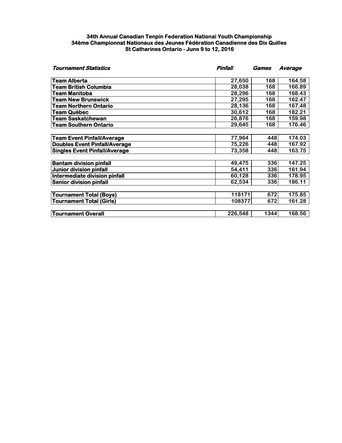| Tournament Statistics                | Pinfall | Games | Average |
|--------------------------------------|---------|-------|---------|
| <b>Team Alberta</b>                  | 27,650  | 168   | 164.58  |
| <b>Team British Columbia</b>         | 28,038  | 168   | 166.89  |
| <b>Team Manitoba</b>                 | 28,296  | 168   | 168.43  |
| <b>Team New Brunswick</b>            | 27,295  | 168   | 162.47  |
| <b>Team Northern Ontario</b>         | 28,136  | 168   | 167.48  |
| <b>Team Québec</b>                   | 30,612  | 168   | 182.21  |
| Team Saskatchewan                    | 26,876  | 168   | 159.98  |
| <b>Team Southern Ontario</b>         | 29,645  | 168   | 176.46  |
| <b>Team Event Pinfall/Average</b>    | 77,964  | 448   | 174.03  |
| <b>Doubles Event Pinfall/Average</b> | 75,226  | 448   | 167.92  |
| <b>Singles Event Pinfall/Average</b> | 73,358  | 448   | 163.75  |
| <b>Bantam division pinfall</b>       | 49,475  | 336   | 147.25  |
| <b>Junior division pinfall</b>       | 54,411  | 336   | 161.94  |
| Intermediate division pinfall        | 60,128  | 336   | 178.95  |
| <b>Senior division pinfall</b>       | 62,534  | 336   | 186.11  |
| <b>Tournament Total (Boys)</b>       | 118171  | 672   | 175.85  |
| <b>Tournament Total (Girls)</b>      | 108377  | 672   | 161.28  |
| <b>Tournament Overall</b>            | 226,548 | 1344  | 168.56  |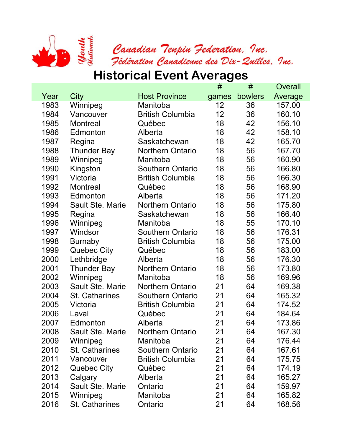

## **Historical Event Averages**

|      |                         |                         | #     | #       | Overall |
|------|-------------------------|-------------------------|-------|---------|---------|
| Year | <b>City</b>             | <b>Host Province</b>    | games | bowlers | Average |
| 1983 | Winnipeg                | Manitoba                | 12    | 36      | 157.00  |
| 1984 | Vancouver               | <b>British Columbia</b> | 12    | 36      | 160.10  |
| 1985 | <b>Montreal</b>         | Québec                  | 18    | 42      | 156.10  |
| 1986 | Edmonton                | Alberta                 | 18    | 42      | 158.10  |
| 1987 | Regina                  | Saskatchewan            | 18    | 42      | 165.70  |
| 1988 | <b>Thunder Bay</b>      | <b>Northern Ontario</b> | 18    | 56      | 167.70  |
| 1989 | Winnipeg                | Manitoba                | 18    | 56      | 160.90  |
| 1990 | Kingston                | <b>Southern Ontario</b> | 18    | 56      | 166.80  |
| 1991 | Victoria                | <b>British Columbia</b> | 18    | 56      | 166.30  |
| 1992 | Montreal                | Québec                  | 18    | 56      | 168.90  |
| 1993 | Edmonton                | Alberta                 | 18    | 56      | 171.20  |
| 1994 | <b>Sault Ste. Marie</b> | <b>Northern Ontario</b> | 18    | 56      | 175.80  |
| 1995 | Regina                  | Saskatchewan            | 18    | 56      | 166.40  |
| 1996 | Winnipeg                | Manitoba                | 18    | 55      | 170.10  |
| 1997 | Windsor                 | <b>Southern Ontario</b> | 18    | 56      | 176.31  |
| 1998 | <b>Burnaby</b>          | <b>British Columbia</b> | 18    | 56      | 175.00  |
| 1999 | <b>Quebec City</b>      | Québec                  | 18    | 56      | 183.00  |
| 2000 | Lethbridge              | Alberta                 | 18    | 56      | 176.30  |
| 2001 | <b>Thunder Bay</b>      | <b>Northern Ontario</b> | 18    | 56      | 173.80  |
| 2002 | Winnipeg                | Manitoba                | 18    | 56      | 169.96  |
| 2003 | Sault Ste. Marie        | <b>Northern Ontario</b> | 21    | 64      | 169.38  |
| 2004 | <b>St. Catharines</b>   | <b>Southern Ontario</b> | 21    | 64      | 165.32  |
| 2005 | Victoria                | <b>British Columbia</b> | 21    | 64      | 174.52  |
| 2006 | Laval                   | Québec                  | 21    | 64      | 184.64  |
| 2007 | Edmonton                | Alberta                 | 21    | 64      | 173.86  |
| 2008 | Sault Ste. Marie        | <b>Northern Ontario</b> | 21    | 64      | 167.30  |
| 2009 | Winnipeg                | Manitoba                | 21    | 64      | 176.44  |
| 2010 | St. Catharines          | <b>Southern Ontario</b> | 21    | 64      | 167.61  |
| 2011 | Vancouver               | <b>British Columbia</b> | 21    | 64      | 175.75  |
| 2012 | <b>Quebec City</b>      | Québec                  | 21    | 64      | 174.19  |
| 2013 | Calgary                 | Alberta                 | 21    | 64      | 165.27  |
| 2014 | Sault Ste. Marie        | Ontario                 | 21    | 64      | 159.97  |
| 2015 | Winnipeg                | Manitoba                | 21    | 64      | 165.82  |
| 2016 | St. Catharines          | Ontario                 | 21    | 64      | 168.56  |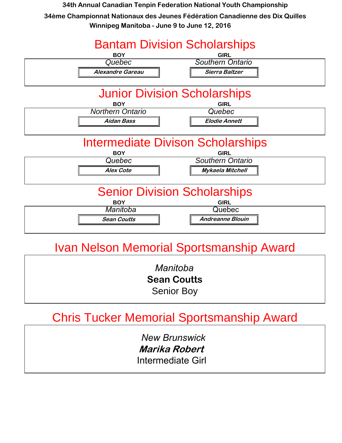

# Ivan Nelson Memorial Sportsmanship Award

 *Manitoba* **Sean Coutts** Senior Boy

## Chris Tucker Memorial Sportsmanship Award

 *New Brunswick* **Marika Robert** Intermediate Girl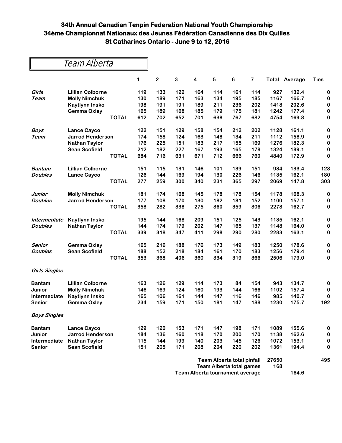|                      | Team Alberta            |     |                |     |                         |     |                            |     |       |                      |             |
|----------------------|-------------------------|-----|----------------|-----|-------------------------|-----|----------------------------|-----|-------|----------------------|-------------|
|                      |                         | 1   | $\overline{2}$ | 3   | $\overline{\mathbf{4}}$ | 5   | 6                          | 7   |       | <b>Total Average</b> | <b>Ties</b> |
| Girls                | <b>Lillian Colborne</b> | 119 | 133            | 122 | 164                     | 114 | 161                        | 114 | 927   | 132.4                | 0           |
| Team                 | <b>Molly Nimchuk</b>    | 130 | 189            | 171 | 163                     | 134 | 195                        | 185 | 1167  | 166.7                | $\pmb{0}$   |
|                      | Kaytlynn Insko          | 198 | 191            | 191 | 189                     | 211 | 236                        | 202 | 1418  | 202.6                | $\pmb{0}$   |
|                      | <b>Gemma Oxley</b>      | 165 | 189            | 168 | 185                     | 179 | 175                        | 181 | 1242  | 177.4                | $\pmb{0}$   |
|                      | <b>TOTAL</b>            | 612 | 702            | 652 | 701                     | 638 | 767                        | 682 | 4754  | 169.8                | 0           |
| <b>Boys</b>          | <b>Lance Cayco</b>      | 122 | 151            | 129 | 158                     | 154 | 212                        | 202 | 1128  | 161.1                | 0           |
| Team                 | <b>Jarrod Henderson</b> | 174 | 158            | 124 | 163                     | 148 | 134                        | 211 | 1112  | 158.9                | $\pmb{0}$   |
|                      | <b>Nathan Taylor</b>    | 176 | 225            | 151 | 183                     | 217 | 155                        | 169 | 1276  | 182.3                | $\pmb{0}$   |
|                      | <b>Sean Scofield</b>    | 212 | 182            | 227 | 167                     | 193 | 165                        | 178 | 1324  | 189.1                | 0           |
|                      | <b>TOTAL</b>            | 684 | 716            | 631 | 671                     | 712 | 666                        | 760 | 4840  | 172.9                | 0           |
| Bantam               | <b>Lillian Colborne</b> | 151 | 115            | 131 | 146                     | 101 | 139                        | 151 | 934   | 133.4                | 123         |
| <b>Doubles</b>       | <b>Lance Cayco</b>      | 126 | 144            | 169 | 194                     | 130 | 226                        | 146 | 1135  | 162.1                | 180         |
|                      | <b>TOTAL</b>            | 277 | 259            | 300 | 340                     | 231 | 365                        | 297 | 2069  | 147.8                | 303         |
| Junior               | <b>Molly Nimchuk</b>    | 181 | 174            | 168 | 145                     | 178 | 178                        | 154 | 1178  | 168.3                | 0           |
| <b>Doubles</b>       | <b>Jarrod Henderson</b> | 177 | 108            | 170 | 130                     | 182 | 181                        | 152 | 1100  | 157.1                | 0           |
|                      | <b>TOTAL</b>            | 358 | 282            | 338 | 275                     | 360 | 359                        | 306 | 2278  | 162.7                | 0           |
| Intermediate         | Kaytlynn Insko          | 195 | 144            | 168 | 209                     | 151 | 125                        | 143 | 1135  | 162.1                | 0           |
| <b>Doubles</b>       | <b>Nathan Taylor</b>    | 144 | 174            | 179 | 202                     | 147 | 165                        | 137 | 1148  | 164.0                | 0           |
|                      | <b>TOTAL</b>            | 339 | 318            | 347 | 411                     | 298 | 290                        | 280 | 2283  | 163.1                | 0           |
| Senior               | <b>Gemma Oxley</b>      | 165 | 216            | 188 | 176                     | 173 | 149                        | 183 | 1250  | 178.6                | 0           |
| <b>Doubles</b>       | <b>Sean Scofield</b>    | 188 | 152            | 218 | 184                     | 161 | 170                        | 183 | 1256  | 179.4                | 0           |
|                      | <b>TOTAL</b>            | 353 | 368            | 406 | 360                     | 334 | 319                        | 366 | 2506  | 179.0                | $\bf{0}$    |
| <b>Girls Singles</b> |                         |     |                |     |                         |     |                            |     |       |                      |             |
| <b>Bantam</b>        | <b>Lillian Colborne</b> | 163 | 126            | 129 | 114                     | 173 | 84                         | 154 | 943   | 134.7                | 0           |
| Junior               | <b>Molly Nimchuk</b>    | 146 | 169            | 124 | 160                     | 193 | 144                        | 166 | 1102  | 157.4                | 0           |
| Intermediate         | Kaytlynn Insko          | 165 | 106            | 161 | 144                     | 147 | 116                        | 146 | 985   | 140.7                | 0           |
| <b>Senior</b>        | <b>Gemma Oxley</b>      | 234 | 159            | 171 | 150                     | 181 | 147                        | 188 | 1230  | 175.7                | 192         |
| <b>Boys Singles</b>  |                         |     |                |     |                         |     |                            |     |       |                      |             |
| <b>Bantam</b>        | <b>Lance Cayco</b>      | 129 | 120            | 153 | 171                     | 147 | 198                        | 171 | 1089  | 155.6                | 0           |
| Junior               | <b>Jarrod Henderson</b> | 184 | 136            | 160 | 118                     | 170 | 200                        | 170 | 1138  | 162.6                | $\pmb{0}$   |
| Intermediate         | <b>Nathan Taylor</b>    | 115 | 144            | 199 | 140                     | 203 | 145                        | 126 | 1072  | 153.1                | $\pmb{0}$   |
| <b>Senior</b>        | <b>Sean Scofield</b>    | 151 | 205            | 171 | 208                     | 204 | 220                        | 202 | 1361  | 194.4                | 0           |
|                      |                         |     |                |     |                         |     | Team Alberta total pinfall |     | 27650 |                      | 495         |

| Team Alberta total pinfall      | 27650 |       |  |
|---------------------------------|-------|-------|--|
| Team Alberta total games        | 168   |       |  |
| Team Alberta tournament average |       | 164.6 |  |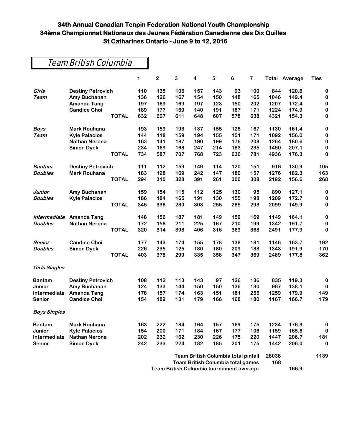| Team British Columbia |  |
|-----------------------|--|
|-----------------------|--|

|                      |                          |              | 1   | $\mathbf 2$ | 3                                        | 4                                        | 5   | 6   | 7   |       | <b>Total Average</b> | <b>Ties</b> |
|----------------------|--------------------------|--------------|-----|-------------|------------------------------------------|------------------------------------------|-----|-----|-----|-------|----------------------|-------------|
| Girls                | <b>Destiny Petrovich</b> |              | 110 | 135         | 106                                      | 157                                      | 143 | 93  | 100 | 844   | 120.6                | $\bf{0}$    |
| Team                 | Amy Buchanan             |              | 136 | 126         | 167                                      | 154                                      | 150 | 148 | 165 | 1046  | 149.4                | $\bf{0}$    |
|                      | <b>Amanda Tang</b>       |              | 197 | 169         | 169                                      | 197                                      | 123 | 150 | 202 | 1207  | 172.4                | 0           |
|                      | <b>Candice Choi</b>      |              | 189 | 177         | 169                                      | 140                                      | 191 | 187 | 171 | 1224  | 174.9                | 0           |
|                      |                          | <b>TOTAL</b> | 632 | 607         | 611                                      | 648                                      | 607 | 578 | 638 | 4321  | 154.3                | $\bf{0}$    |
| Boys                 | <b>Mark Rouhana</b>      |              | 193 | 159         | 193                                      | 137                                      | 155 | 126 | 167 | 1130  | 161.4                | 0           |
| Team                 | <b>Kyle Palacios</b>     |              | 144 | 118         | 159                                      | 194                                      | 155 | 151 | 171 | 1092  | 156.0                | $\pmb{0}$   |
|                      | <b>Nathan Nerona</b>     |              | 163 | 141         | 187                                      | 190                                      | 199 | 176 | 208 | 1264  | 180.6                | $\pmb{0}$   |
|                      | <b>Simon Dyck</b>        |              | 234 | 169         | 168                                      | 247                                      | 214 | 183 | 235 | 1450  | 207.1                | $\pmb{0}$   |
|                      |                          | <b>TOTAL</b> | 734 | 587         | 707                                      | 768                                      | 723 | 636 | 781 | 4936  | 176.3                | $\bf{0}$    |
| <b>Bantam</b>        | <b>Destiny Petrovich</b> |              | 111 | 112         | 159                                      | 149                                      | 114 | 120 | 151 | 916   | 130.9                | 105         |
| <b>Doubles</b>       | <b>Mark Rouhana</b>      |              | 183 | 198         | 169                                      | 242                                      | 147 | 180 | 157 | 1276  | 182.3                | 163         |
|                      |                          | <b>TOTAL</b> | 294 | 310         | 328                                      | 391                                      | 261 | 300 | 308 | 2192  | 156.6                | 268         |
| Junior               | Amy Buchanan             |              | 159 | 154         | 115                                      | 112                                      | 125 | 130 | 95  | 890   | 127.1                | 0           |
| <b>Doubles</b>       | <b>Kyle Palacios</b>     |              | 186 | 184         | 165                                      | 191                                      | 130 | 155 | 198 | 1209  | 172.7                | $\bf{0}$    |
|                      |                          | <b>TOTAL</b> | 345 | 338         | 280                                      | 303                                      | 255 | 285 | 293 | 2099  | 149.9                | $\pmb{0}$   |
| Intermediate         | <b>Amanda Tang</b>       |              | 148 | 156         | 187                                      | 181                                      | 149 | 159 | 169 | 1149  | 164.1                | $\pmb{0}$   |
| <b>Doubles</b>       | <b>Nathan Nerona</b>     |              | 172 | 158         | 211                                      | 225                                      | 167 | 210 | 199 | 1342  | 191.7                | 0           |
|                      |                          | <b>TOTAL</b> | 320 | 314         | 398                                      | 406                                      | 316 | 369 | 368 | 2491  | 177.9                | 0           |
| Senior               | <b>Candice Choi</b>      |              | 177 | 143         | 174                                      | 155                                      | 178 | 138 | 181 | 1146  | 163.7                | 192         |
| <b>Doubles</b>       | <b>Simon Dyck</b>        |              | 226 | 235         | 125                                      | 180                                      | 180 | 209 | 188 | 1343  | 191.9                | 170         |
|                      |                          | <b>TOTAL</b> | 403 | 378         | 299                                      | 335                                      | 358 | 347 | 369 | 2489  | 177.8                | 362         |
| <b>Girls Singles</b> |                          |              |     |             |                                          |                                          |     |     |     |       |                      |             |
| <b>Bantam</b>        | <b>Destiny Petrovich</b> |              | 108 | 112         | 113                                      | 143                                      | 97  | 126 | 136 | 835   | 119.3                | 0           |
| Junior               | Amy Buchanan             |              | 124 | 133         | 144                                      | 150                                      | 150 | 136 | 130 | 967   | 138.1                | 0           |
| Intermediate         | <b>Amanda Tang</b>       |              | 178 | 157         | 174                                      | 163                                      | 151 | 181 | 255 | 1259  | 179.9                | 149         |
| Senior               | <b>Candice Choi</b>      |              | 154 | 189         | 131                                      | 179                                      | 166 | 168 | 180 | 1167  | 166.7                | 179         |
| <b>Boys Singles</b>  |                          |              |     |             |                                          |                                          |     |     |     |       |                      |             |
| Bantam               | <b>Mark Rouhana</b>      |              | 163 | 222         | 184                                      | 164                                      | 157 | 169 | 175 | 1234  | 176.3                | U           |
| <b>Junior</b>        | <b>Kyle Palacios</b>     |              | 154 | 200         | 171                                      | 184                                      | 167 | 177 | 106 | 1159  | 165.6                | 0           |
| Intermediate         | <b>Nathan Nerona</b>     |              | 202 | 232         | 162                                      | 230                                      | 226 | 175 | 220 | 1447  | 206.7                | 181         |
| <b>Senior</b>        | <b>Simon Dyck</b>        |              | 242 | 233         | 224                                      | 182                                      | 185 | 201 | 175 | 1442  | 206.0                | 0           |
|                      |                          |              |     |             |                                          | Team British Columbia total pinfall      |     |     |     | 28038 |                      | 1139        |
|                      |                          |              |     |             |                                          | <b>Team British Columbia total games</b> |     |     |     | 168   |                      |             |
|                      |                          |              |     |             | Team British Columbia tournament average |                                          |     |     |     |       | 166.9                |             |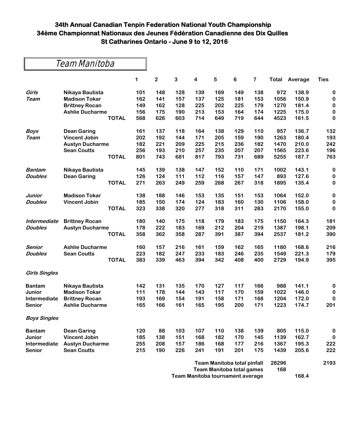| Team Manitoba |  |  |  |
|---------------|--|--|--|
|               |  |  |  |

|                      |                        |              | 1   | $\mathbf 2$ | 3   | 4   | 5   | 6   | $\overline{\mathbf{7}}$ | Total | Average | <b>Ties</b> |
|----------------------|------------------------|--------------|-----|-------------|-----|-----|-----|-----|-------------------------|-------|---------|-------------|
| Girls                | Nikaya Bautista        |              | 101 | 148         | 128 | 139 | 169 | 149 | 138                     | 972   | 138.9   | $\pmb{0}$   |
| Team                 | <b>Madison Tokar</b>   |              | 162 | 141         | 157 | 137 | 125 | 181 | 153                     | 1056  | 150.9   | $\pmb{0}$   |
|                      | <b>Brittney Rocan</b>  |              | 149 | 162         | 128 | 225 | 202 | 225 | 179                     | 1270  | 181.4   | $\bf{0}$    |
|                      | <b>Ashlie Ducharme</b> |              | 156 | 175         | 190 | 213 | 153 | 164 | 174                     | 1225  | 175.0   | 0           |
|                      |                        | <b>TOTAL</b> | 568 | 626         | 603 | 714 | 649 | 719 | 644                     | 4523  | 161.5   | $\bf{0}$    |
| <b>Boys</b>          | <b>Dean Garing</b>     |              | 161 | 137         | 118 | 164 | 138 | 129 | 110                     | 957   | 136.7   | 132         |
| Team                 | <b>Vincent Jobin</b>   |              | 202 | 192         | 144 | 171 | 205 | 159 | 190                     | 1263  | 180.4   | 193         |
|                      | <b>Austyn Ducharme</b> |              | 182 | 221         | 209 | 225 | 215 | 236 | 182                     | 1470  | 210.0   | 242         |
|                      | <b>Sean Coutts</b>     |              | 256 | 193         | 210 | 257 | 235 | 207 | 207                     | 1565  | 223.6   | 196         |
|                      |                        | <b>TOTAL</b> | 801 | 743         | 681 | 817 | 793 | 731 | 689                     | 5255  | 187.7   | 763         |
| <b>Bantam</b>        | Nikaya Bautista        |              | 145 | 139         | 138 | 147 | 152 | 110 | 171                     | 1002  | 143.1   | $\bf{0}$    |
| <b>Doubles</b>       | <b>Dean Garing</b>     |              | 126 | 124         | 111 | 112 | 116 | 157 | 147                     | 893   | 127.6   | $\bf{0}$    |
|                      |                        | <b>TOTAL</b> | 271 | 263         | 249 | 259 | 268 | 267 | 318                     | 1895  | 135.4   | $\bf{0}$    |
| Junior               | <b>Madison Tokar</b>   |              | 138 | 188         | 146 | 153 | 135 | 151 | 153                     | 1064  | 152.0   | $\mathbf 0$ |
| <b>Doubles</b>       | <b>Vincent Jobin</b>   |              | 185 | 150         | 174 | 124 | 183 | 160 | 130                     | 1106  | 158.0   | $\bf{0}$    |
|                      |                        | <b>TOTAL</b> | 323 | 338         | 320 | 277 | 318 | 311 | 283                     | 2170  | 155.0   | $\bf{0}$    |
| Intermediate         | <b>Brittney Rocan</b>  |              | 180 | 140         | 175 | 118 | 179 | 183 | 175                     | 1150  | 164.3   | 181         |
| <b>Doubles</b>       | <b>Austyn Ducharme</b> |              | 178 | 222         | 183 | 169 | 212 | 204 | 219                     | 1387  | 198.1   | 209         |
|                      |                        | <b>TOTAL</b> | 358 | 362         | 358 | 287 | 391 | 387 | 394                     | 2537  | 181.2   | 390         |
| Senior               | <b>Ashlie Ducharme</b> |              | 160 | 157         | 216 | 161 | 159 | 162 | 165                     | 1180  | 168.6   | 216         |
| <b>Doubles</b>       | <b>Sean Coutts</b>     |              | 223 | 182         | 247 | 233 | 183 | 246 | 235                     | 1549  | 221.3   | 179         |
|                      |                        | <b>TOTAL</b> | 383 | 339         | 463 | 394 | 342 | 408 | 400                     | 2729  | 194.9   | 395         |
| <b>Girls Singles</b> |                        |              |     |             |     |     |     |     |                         |       |         |             |
| <b>Bantam</b>        | Nikaya Bautista        |              | 142 | 131         | 135 | 170 | 127 | 117 | 166                     | 988   | 141.1   | 0           |
| Junior               | <b>Madison Tokar</b>   |              | 111 | 178         | 144 | 143 | 117 | 170 | 159                     | 1022  | 146.0   | $\pmb{0}$   |
| <b>Intermediate</b>  | <b>Brittney Rocan</b>  |              | 193 | 169         | 154 | 191 | 158 | 171 | 168                     | 1204  | 172.0   | $\bf{0}$    |
| <b>Senior</b>        | <b>Ashlie Ducharme</b> |              | 165 | 166         | 161 | 165 | 195 | 200 | 171                     | 1223  | 174.7   | 201         |
| <b>Boys Singles</b>  |                        |              |     |             |     |     |     |     |                         |       |         |             |
| <b>Bantam</b>        | <b>Dean Garing</b>     |              | 120 | 88          | 103 | 107 | 110 | 138 | 139                     | 805   | 115.0   | $\bf{0}$    |
| Junior               | <b>Vincent Jobin</b>   |              | 185 | 138         | 151 | 168 | 182 | 170 | 145                     | 1139  | 162.7   | $\pmb{0}$   |
| Intermediate         | <b>Austyn Ducharme</b> |              | 255 | 208         | 157 | 186 | 168 | 177 | 216                     | 1367  | 195.3   | 222         |
| <b>Senior</b>        | <b>Sean Coutts</b>     |              | 215 | 190         | 226 | 241 | 191 | 201 | 175                     | 1439  | 205.6   | 222         |
|                      |                        |              |     |             |     |     |     |     | $ -$                    |       |         |             |

| Team Manitoba total pinfall      | 28296 |       | 2193 |
|----------------------------------|-------|-------|------|
| Team Manitoba total games        | 168   |       |      |
| Team Manitoba tournament average |       | 168.4 |      |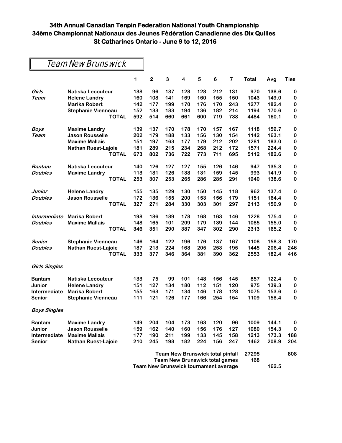## Team New Brunswick

|                      |                            | 1   | $\mathbf{2}$ | 3   | 4                                       | 5   | 6   | 7   | Total | Avg   | <b>Ties</b> |
|----------------------|----------------------------|-----|--------------|-----|-----------------------------------------|-----|-----|-----|-------|-------|-------------|
| Girls                | Natiska Lecouteur          | 138 | 96           | 137 | 128                                     | 128 | 212 | 131 | 970   | 138.6 | 0           |
| Team                 | <b>Helene Landry</b>       | 160 | 108          | 141 | 169                                     | 160 | 155 | 150 | 1043  | 149.0 | 0           |
|                      | <b>Marika Robert</b>       | 142 | 177          | 199 | 170                                     | 176 | 170 | 243 | 1277  | 182.4 | 0           |
|                      | <b>Stephanie Vienneau</b>  | 152 | 133          | 183 | 194                                     | 136 | 182 | 214 | 1194  | 170.6 | $\pmb{0}$   |
|                      | <b>TOTAL</b>               | 592 | 514          | 660 | 661                                     | 600 | 719 | 738 | 4484  | 160.1 | 0           |
| <b>Boys</b>          | <b>Maxime Landry</b>       | 139 | 137          | 170 | 178                                     | 170 | 157 | 167 | 1118  | 159.7 | $\pmb{0}$   |
| Team                 | Jason Rousselle            | 202 | 179          | 188 | 133                                     | 156 | 130 | 154 | 1142  | 163.1 | 0           |
|                      | <b>Maxime Mallais</b>      | 151 | 197          | 163 | 177                                     | 179 | 212 | 202 | 1281  | 183.0 | $\pmb{0}$   |
|                      | <b>Nathan Ruest-Lajoie</b> | 181 | 289          | 215 | 234                                     | 268 | 212 | 172 | 1571  | 224.4 | $\pmb{0}$   |
|                      | <b>TOTAL</b>               | 673 | 802          | 736 | 722                                     | 773 | 711 | 695 | 5112  | 182.6 | 0           |
| Bantam               | Natiska Lecouteur          | 140 | 126          | 127 | 127                                     | 155 | 126 | 146 | 947   | 135.3 | 0           |
| <b>Doubles</b>       | <b>Maxime Landry</b>       | 113 | 181          | 126 | 138                                     | 131 | 159 | 145 | 993   | 141.9 | $\pmb{0}$   |
|                      | <b>TOTAL</b>               | 253 | 307          | 253 | 265                                     | 286 | 285 | 291 | 1940  | 138.6 | 0           |
| Junior               | <b>Helene Landry</b>       | 155 | 135          | 129 | 130                                     | 150 | 145 | 118 | 962   | 137.4 | $\pmb{0}$   |
| <b>Doubles</b>       | <b>Jason Rousselle</b>     | 172 | 136          | 155 | 200                                     | 153 | 156 | 179 | 1151  | 164.4 | 0           |
|                      | <b>TOTAL</b>               | 327 | 271          | 284 | 330                                     | 303 | 301 | 297 | 2113  | 150.9 | 0           |
| Intermediate         | <b>Marika Robert</b>       | 198 | 186          | 189 | 178                                     | 168 | 163 | 146 | 1228  | 175.4 | $\pmb{0}$   |
| <b>Doubles</b>       | <b>Maxime Mallais</b>      | 148 | 165          | 101 | 209                                     | 179 | 139 | 144 | 1085  | 155.0 | 0           |
|                      | <b>TOTAL</b>               | 346 | 351          | 290 | 387                                     | 347 | 302 | 290 | 2313  | 165.2 | $\bf{0}$    |
| Senior               | <b>Stephanie Vienneau</b>  | 146 | 164          | 122 | 196                                     | 176 | 137 | 167 | 1108  | 158.3 | 170         |
| <b>Doubles</b>       | <b>Nathan Ruest-Lajoie</b> | 187 | 213          | 224 | 168                                     | 205 | 253 | 195 | 1445  | 206.4 | 246         |
|                      | <b>TOTAL</b>               | 333 | 377          | 346 | 364                                     | 381 | 390 | 362 | 2553  | 182.4 | 416         |
| <b>Girls Singles</b> |                            |     |              |     |                                         |     |     |     |       |       |             |
| <b>Bantam</b>        | Natiska Lecouteur          | 133 | 75           | 99  | 101                                     | 148 | 156 | 145 | 857   | 122.4 | 0           |
| Junior               | <b>Helene Landry</b>       | 151 | 127          | 134 | 180                                     | 112 | 151 | 120 | 975   | 139.3 | 0           |
| Intermediate         | <b>Marika Robert</b>       | 155 | 163          | 171 | 134                                     | 146 | 178 | 128 | 1075  | 153.6 | 0           |
| <b>Senior</b>        | <b>Stephanie Vienneau</b>  | 111 | 121          | 126 | 177                                     | 166 | 254 | 154 | 1109  | 158.4 | $\bf{0}$    |
| <b>Boys Singles</b>  |                            |     |              |     |                                         |     |     |     |       |       |             |
| <b>Bantam</b>        | <b>Maxime Landry</b>       | 149 | 204          | 104 | 173                                     | 163 | 120 | 96  | 1009  | 144.1 | 0           |
| Junior               | <b>Jason Rousselle</b>     | 159 | 162          | 140 | 160                                     | 156 | 176 | 127 | 1080  | 154.3 | $\pmb{0}$   |
| Intermediate         | <b>Maxime Mallais</b>      | 177 | 190          | 211 | 199                                     | 133 | 145 | 158 | 1213  | 173.3 | 188         |
| <b>Senior</b>        | Nathan Ruest-Lajoie        | 210 | 245          | 198 | 182                                     | 224 | 156 | 247 | 1462  | 208.9 | 204         |
|                      |                            |     |              |     | <b>Team New Brunswick total pinfall</b> |     |     |     | 27295 |       | 808         |
|                      |                            |     |              |     | <b>Team New Brunswick total games</b>   |     |     |     | 168   |       |             |
|                      |                            |     |              |     | Team New Brunswick tournament average   |     |     |     |       | 162.5 |             |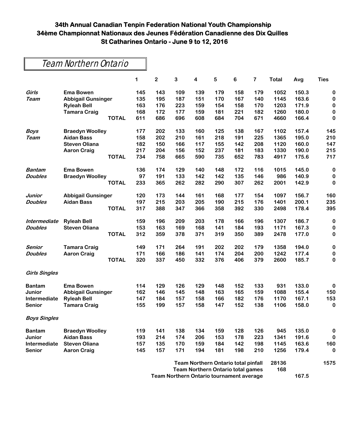|  | <b>Team Northern Ontario</b> |  |
|--|------------------------------|--|
|--|------------------------------|--|

|                      |                           |              | 1   | 2   | 3   | 4   | 5   | 6                                   | 7   | <b>Total</b> | Avg   | <b>Ties</b> |
|----------------------|---------------------------|--------------|-----|-----|-----|-----|-----|-------------------------------------|-----|--------------|-------|-------------|
| Girls                | <b>Ema Bowen</b>          |              | 145 | 143 | 109 | 139 | 179 | 158                                 | 179 | 1052         | 150.3 | $\pmb{0}$   |
| Team                 | <b>Abbigail Gunsinger</b> |              | 135 | 195 | 187 | 151 | 170 | 167                                 | 140 | 1145         | 163.6 | $\pmb{0}$   |
|                      | <b>Ryleah Bell</b>        |              | 163 | 176 | 223 | 159 | 154 | 158                                 | 170 | 1203         | 171.9 | $\pmb{0}$   |
|                      | <b>Tamara Craig</b>       |              | 168 | 172 | 177 | 159 | 181 | 221                                 | 182 | 1260         | 180.0 | 0           |
|                      |                           | <b>TOTAL</b> | 611 | 686 | 696 | 608 | 684 | 704                                 | 671 | 4660         | 166.4 | 0           |
| <b>Boys</b>          | <b>Braedyn Woolley</b>    |              | 177 | 202 | 133 | 160 | 125 | 138                                 | 167 | 1102         | 157.4 | 145         |
| <b>Team</b>          | <b>Aidan Bass</b>         |              | 158 | 202 | 210 | 161 | 218 | 191                                 | 225 | 1365         | 195.0 | 210         |
|                      | <b>Steven Oliana</b>      |              | 182 | 150 | 166 | 117 | 155 | 142                                 | 208 | 1120         | 160.0 | 147         |
|                      | <b>Aaron Craig</b>        |              | 217 | 204 | 156 | 152 | 237 | 181                                 | 183 | 1330         | 190.0 | 215         |
|                      |                           | <b>TOTAL</b> | 734 | 758 | 665 | 590 | 735 | 652                                 | 783 | 4917         | 175.6 | 717         |
| <b>Bantam</b>        | <b>Ema Bowen</b>          |              | 136 | 174 | 129 | 140 | 148 | 172                                 | 116 | 1015         | 145.0 | $\bf{0}$    |
| <b>Doubles</b>       | <b>Braedyn Woolley</b>    |              | 97  | 191 | 133 | 142 | 142 | 135                                 | 146 | 986          | 140.9 | $\bf{0}$    |
|                      |                           | <b>TOTAL</b> | 233 | 365 | 262 | 282 | 290 | 307                                 | 262 | 2001         | 142.9 | 0           |
| <b>Junior</b>        | <b>Abbigail Gunsinger</b> |              | 120 | 173 | 144 | 161 | 168 | 177                                 | 154 | 1097         | 156.7 | 160         |
| <b>Doubles</b>       | <b>Aidan Bass</b>         |              | 197 | 215 | 203 | 205 | 190 | 215                                 | 176 | 1401         | 200.1 | 235         |
|                      |                           | <b>TOTAL</b> | 317 | 388 | 347 | 366 | 358 | 392                                 | 330 | 2498         | 178.4 | 395         |
| <b>Intermediate</b>  | <b>Ryleah Bell</b>        |              | 159 | 196 | 209 | 203 | 178 | 166                                 | 196 | 1307         | 186.7 | 0           |
| <b>Doubles</b>       | <b>Steven Oliana</b>      |              | 153 | 163 | 169 | 168 | 141 | 184                                 | 193 | 1171         | 167.3 | 0           |
|                      |                           | <b>TOTAL</b> | 312 | 359 | 378 | 371 | 319 | 350                                 | 389 | 2478         | 177.0 | $\pmb{0}$   |
| Senior               | <b>Tamara Craig</b>       |              | 149 | 171 | 264 | 191 | 202 | 202                                 | 179 | 1358         | 194.0 | $\mathbf 0$ |
| <b>Doubles</b>       | <b>Aaron Craig</b>        |              | 171 | 166 | 186 | 141 | 174 | 204                                 | 200 | 1242         | 177.4 | $\mathbf 0$ |
|                      |                           | <b>TOTAL</b> | 320 | 337 | 450 | 332 | 376 | 406                                 | 379 | 2600         | 185.7 | $\pmb{0}$   |
| <b>Girls Singles</b> |                           |              |     |     |     |     |     |                                     |     |              |       |             |
| <b>Bantam</b>        | <b>Ema Bowen</b>          |              | 114 | 129 | 126 | 129 | 148 | 152                                 | 133 | 931          | 133.0 | 0           |
| Junior               | <b>Abbigail Gunsinger</b> |              | 162 | 146 | 145 | 148 | 163 | 165                                 | 159 | 1088         | 155.4 | 150         |
| Intermediate         | <b>Ryleah Bell</b>        |              | 147 | 184 | 157 | 158 | 166 | 182                                 | 176 | 1170         | 167.1 | 153         |
| <b>Senior</b>        | <b>Tamara Craig</b>       |              | 155 | 199 | 157 | 158 | 147 | 152                                 | 138 | 1106         | 158.0 | 0           |
| <b>Boys Singles</b>  |                           |              |     |     |     |     |     |                                     |     |              |       |             |
| <b>Bantam</b>        | <b>Braedyn Woolley</b>    |              | 119 | 141 | 138 | 134 | 159 | 128                                 | 126 | 945          | 135.0 | 0           |
| Junior               | <b>Aidan Bass</b>         |              | 193 | 214 | 174 | 206 | 153 | 178                                 | 223 | 1341         | 191.6 | $\bf{0}$    |
| Intermediate         | <b>Steven Oliana</b>      |              | 157 | 135 | 170 | 159 | 184 | 142                                 | 198 | 1145         | 163.6 | 160         |
| <b>Senior</b>        | <b>Aaron Craig</b>        |              | 145 | 157 | 171 | 194 | 181 | 198                                 | 210 | 1256         | 179.4 | 0           |
|                      |                           |              |     |     |     |     |     | Team Northern Ontario total pinfall |     | 28136        |       | 1575        |

**Team Northern Ontario total games 168**

**Team Northern Ontario tournament average 167.5**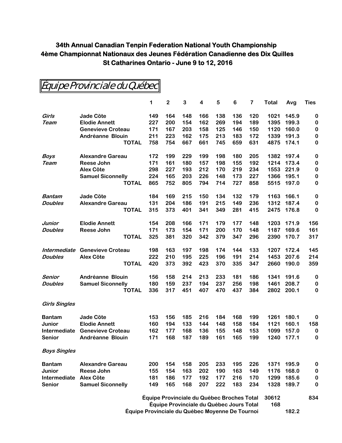|                        | <i>Équipe Provinciale du Québec</i> |     |                |     |                                            |     |                 |                         |       |            |             |
|------------------------|-------------------------------------|-----|----------------|-----|--------------------------------------------|-----|-----------------|-------------------------|-------|------------|-------------|
|                        |                                     | 1   | $\overline{2}$ | 3   | 4                                          | 5   | $6\phantom{1}6$ | $\overline{\mathbf{r}}$ | Total | Avg        | <b>Ties</b> |
| Girls                  | Jade Cõte                           | 149 | 164            | 148 | 166                                        | 138 | 136             | 120                     | 1021  | 145.9      | 0           |
| Team                   | <b>Elodie Annett</b>                | 227 | 200            | 154 | 162                                        | 269 | 194             | 189                     | 1395  | 199.3      | 0           |
|                        | <b>Genevieve Croteau</b>            | 171 | 167            | 203 | 158                                        | 125 | 146             | 150                     | 1120  | 160.0      | 0           |
|                        | Andréanne Blouin                    | 211 | 223            | 162 | 175                                        | 213 | 183             | 172                     | 1339  | 191.3      | 0           |
|                        | <b>TOTAL</b>                        | 758 | 754            | 667 | 661                                        | 745 | 659             | 631                     | 4875  | 174.1      | 0           |
| <b>Boys</b>            | <b>Alexandre Gareau</b>             | 172 | 199            | 229 | 199                                        | 198 | 180             | 205                     | 1382  | 197.4      | 0           |
| Team                   | <b>Reese John</b>                   | 171 | 161            | 180 | 157                                        | 198 | 155             | 192                     | 1214  | 173.4      | 0           |
|                        | Alex Cõte                           | 298 | 227            | 193 | 212                                        | 170 | 219             | 234                     | 1553  | 221.9      | 0           |
|                        | <b>Samuel Siconnelly</b>            | 224 | 165            | 203 | 226                                        | 148 | 173             | 227                     | 1366  | 195.1      | 0           |
|                        | <b>TOTAL</b>                        | 865 | 752            | 805 | 794                                        | 714 | 727             | 858                     | 5515  | 197.0      | 0           |
| <b>Bantam</b>          | Jade Cõte                           | 184 | 169            | 215 | 150                                        | 134 | 132             | 179                     | 1163  | 166.1      | 0           |
| <b>Doubles</b>         | <b>Alexandre Gareau</b>             | 131 | 204            | 186 | 191                                        | 215 | 149             | 236                     | 1312  | 187.4      | 0           |
|                        | <b>TOTAL</b>                        | 315 | 373            | 401 | 341                                        | 349 | 281             | 415                     | 2475  | 176.8      | 0           |
| Junior                 | <b>Elodie Annett</b>                | 154 | 208            | 166 | 171                                        | 179 | 177             | 148                     | 1203  | 171.9      | 156         |
| <b>Doubles</b>         | <b>Reese John</b>                   | 171 | 173            | 154 | 171                                        | 200 | 170             | 148                     | 1187  | 169.6      | 161         |
|                        | <b>TOTAL</b>                        | 325 | 381            | 320 | 342                                        | 379 | 347             | 296                     | 2390  | 170.7      | 317         |
| Intermediate           | <b>Genevieve Croteau</b>            | 198 | 163            | 197 | 198                                        | 174 | 144             | 133                     | 1207  | 172.4      | 145         |
| <b>Doubles</b>         | Alex Cõte                           | 222 | 210            | 195 | 225                                        | 196 | 191             | 214                     | 1453  | 207.6      | 214         |
|                        | <b>TOTAL</b>                        | 420 | 373            | 392 | 423                                        | 370 | 335             | 347                     | 2660  | 190.0      | 359         |
| Senior                 | Andréanne Blouin                    | 156 | 158            | 214 | 213                                        | 233 | 181             | 186                     | 1341  | 191.6      | 0           |
| Doubles                | <b>Samuel Siconnelly</b>            | 180 | 159            | 237 | 194                                        | 237 | 256             | 198                     | 1461  | 208.7      | 0           |
|                        | <b>TOTAL</b>                        | 336 | 317            | 451 | 407                                        | 470 | 437             | 384                     | 2802  | 200.1      | 0           |
|                        |                                     |     |                |     |                                            |     |                 |                         |       |            |             |
| <b>Girls Singles</b>   |                                     |     |                |     |                                            |     |                 |                         |       |            |             |
| <b>Bantam</b>          | Jade Cõte                           | 153 | 156            | 185 | 216                                        | 184 | 168             | 199                     | 1261  | 180.1      | 0           |
| Junior                 | <b>Elodie Annett</b>                | 160 | 194            | 133 | 144                                        | 148 | 158             | 184                     | 1121  | 160.1      | 158         |
|                        | Intermediate Genevieve Croteau      | 162 | 177            | 168 | 136                                        | 155 | 148             | 153                     |       | 1099 157.0 | 0           |
| <b>Senior</b>          | <b>Andréanne Blouin</b>             | 171 | 168            | 187 | 189                                        | 161 | 165             | 199                     | 1240  | 177.1      | 0           |
| <b>Boys Singles</b>    |                                     |     |                |     |                                            |     |                 |                         |       |            |             |
| <b>Bantam</b>          | <b>Alexandre Gareau</b>             | 200 | 154            | 158 | 205                                        | 233 | 195             | 226                     | 1371  | 195.9      | 0           |
| Junior                 | <b>Reese John</b>                   | 155 | 154            | 163 | 202                                        | 190 | 163             | 149                     | 1176  | 168.0      | 0           |
| Intermediate Alex Cõte |                                     | 181 | 186            | 177 | 192                                        | 177 | 216             | 170                     | 1299  | 185.6      | 0           |
| <b>Senior</b>          | <b>Samuel Siconnelly</b>            | 149 | 165            | 168 | 207                                        | 222 | 183             | 234                     | 1328  | 189.7      | 0           |
|                        |                                     |     |                |     | Équipe Provinciale du Québec Broches Total |     |                 |                         | 30612 |            | 834         |
|                        |                                     |     |                |     | a Descinatala du Ouábas, laura Tatal       |     |                 |                         | 0.00  |            |             |

**Équipe Provinciale du Québec Jours Total 168**

**Équipe Provinciale du Québec Moyenne De Tournoi 182.2**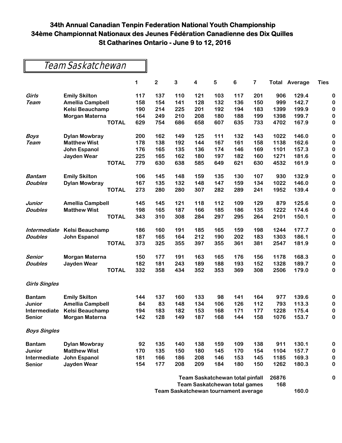## Team Saskatchewan

|                      |                         |              | 1   | $\mathbf 2$ | 3   | $\overline{\mathbf{4}}$ | 5   | 6                                                                              | 7   |              | <b>Total Average</b> | <b>Ties</b> |
|----------------------|-------------------------|--------------|-----|-------------|-----|-------------------------|-----|--------------------------------------------------------------------------------|-----|--------------|----------------------|-------------|
| Girls                | <b>Emily Skilton</b>    |              | 117 | 137         | 110 | 121                     | 103 | 117                                                                            | 201 | 906          | 129.4                | 0           |
| Team                 | <b>Amellia Campbell</b> |              | 158 | 154         | 141 | 128                     | 132 | 136                                                                            | 150 | 999          | 142.7                | 0           |
|                      | <b>Kelsi Beauchamp</b>  |              | 190 | 214         | 225 | 201                     | 192 | 194                                                                            | 183 | 1399         | 199.9                | 0           |
|                      | Morgan Materna          |              | 164 | 249         | 210 | 208                     | 180 | 188                                                                            | 199 | 1398         | 199.7                | 0           |
|                      |                         | <b>TOTAL</b> | 629 | 754         | 686 | 658                     | 607 | 635                                                                            | 733 | 4702         | 167.9                | 0           |
| <b>Boys</b>          | <b>Dylan Mowbray</b>    |              | 200 | 162         | 149 | 125                     | 111 | 132                                                                            | 143 | 1022         | 146.0                | 0           |
| Team                 | <b>Matthew Wist</b>     |              | 178 | 138         | 192 | 144                     | 167 | 161                                                                            | 158 | 1138         | 162.6                | 0           |
|                      | <b>John Espanol</b>     |              | 176 | 165         | 135 | 136                     | 174 | 146                                                                            | 169 | 1101         | 157.3                | 0           |
|                      | <b>Jayden Wear</b>      |              | 225 | 165         | 162 | 180                     | 197 | 182                                                                            | 160 | 1271         | 181.6                | 0           |
|                      |                         | <b>TOTAL</b> | 779 | 630         | 638 | 585                     | 649 | 621                                                                            | 630 | 4532         | 161.9                | 0           |
| Bantam               | <b>Emily Skilton</b>    |              | 106 | 145         | 148 | 159                     | 135 | 130                                                                            | 107 | 930          | 132.9                | 0           |
| <b>Doubles</b>       | <b>Dylan Mowbray</b>    |              | 167 | 135         | 132 | 148                     | 147 | 159                                                                            | 134 | 1022         | 146.0                | 0           |
|                      |                         | <b>TOTAL</b> | 273 | 280         | 280 | 307                     | 282 | 289                                                                            | 241 | 1952         | 139.4                | 0           |
| Junior               | <b>Amellia Campbell</b> |              | 145 | 145         | 121 | 118                     | 112 | 109                                                                            | 129 | 879          | 125.6                | 0           |
| <b>Doubles</b>       | <b>Matthew Wist</b>     |              | 198 | 165         | 187 | 166                     | 185 | 186                                                                            | 135 | 1222         | 174.6                | 0           |
|                      |                         | <b>TOTAL</b> | 343 | 310         | 308 | 284                     | 297 | 295                                                                            | 264 | 2101         | 150.1                | 0           |
| Intermediate         | <b>Kelsi Beauchamp</b>  |              | 186 | 160         | 191 | 185                     | 165 | 159                                                                            | 198 | 1244         | 177.7                | 0           |
| <b>Doubles</b>       | <b>John Espanol</b>     |              | 187 | 165         | 164 | 212                     | 190 | 202                                                                            | 183 | 1303         | 186.1                | 0           |
|                      |                         | <b>TOTAL</b> | 373 | 325         | 355 | 397                     | 355 | 361                                                                            | 381 | 2547         | 181.9                | 0           |
| Senior               | Morgan Materna          |              | 150 | 177         | 191 | 163                     | 165 | 176                                                                            | 156 | 1178         | 168.3                | 0           |
| <b>Doubles</b>       | Jayden Wear             |              | 182 | 181         | 243 | 189                     | 188 | 193                                                                            | 152 | 1328         | 189.7                | 0           |
|                      |                         | <b>TOTAL</b> | 332 | 358         | 434 | 352                     | 353 | 369                                                                            | 308 | 2506         | 179.0                | 0           |
| <b>Girls Singles</b> |                         |              |     |             |     |                         |     |                                                                                |     |              |                      |             |
| <b>Bantam</b>        | <b>Emily Skilton</b>    |              | 144 | 137         | 160 | 133                     | 98  | 141                                                                            | 164 | 977          | 139.6                | 0           |
| Junior               | <b>Amellia Campbell</b> |              | 84  | 83          | 148 | 134                     | 106 | 126                                                                            | 112 | 793          | 113.3                | 0           |
| Intermediate         | <b>Kelsi Beauchamp</b>  |              | 194 | 183         | 182 | 153                     | 168 | 171                                                                            | 177 | 1228         | 175.4                | 0           |
| <b>Senior</b>        | Morgan Materna          |              | 142 | 128         | 149 | 187                     | 168 | 144                                                                            | 158 | 1076         | 153.7                | 0           |
| <b>Boys Singles</b>  |                         |              |     |             |     |                         |     |                                                                                |     |              |                      |             |
| <b>Bantam</b>        | <b>Dylan Mowbray</b>    |              | 92  | 135         | 140 | 138                     | 159 | 109                                                                            | 138 | 911          | 130.1                | 0           |
| Junior               | <b>Matthew Wist</b>     |              | 170 | 135         | 150 | 180                     | 145 | 170                                                                            | 154 | 1104         | 157.7                | 0           |
| Intermediate         | <b>John Espanol</b>     |              | 181 | 166         | 186 | 208                     | 146 | 153                                                                            | 145 | 1185         | 169.3                | 0           |
| <b>Senior</b>        | Jayden Wear             |              | 154 | 177         | 208 | 209                     | 184 | 180                                                                            | 150 | 1262         | 180.3                | 0           |
|                      |                         |              |     |             |     |                         |     | <b>Team Saskatchewan total pinfall</b><br><b>Team Saskatchewan total games</b> |     | 26876<br>168 |                      | 0           |
|                      |                         |              |     |             |     |                         |     | Team Saskatchewan tournament average                                           |     |              | 160.0                |             |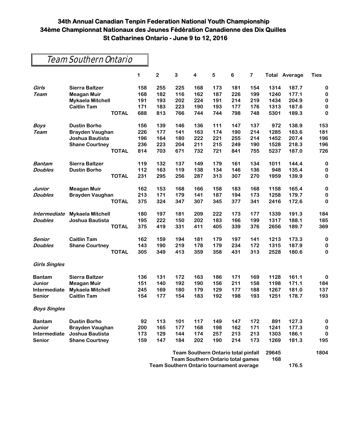|                      | Team Southern Ontario   |     |     |     |                                            |     |         |     |       |                      |             |
|----------------------|-------------------------|-----|-----|-----|--------------------------------------------|-----|---------|-----|-------|----------------------|-------------|
|                      |                         | 1   | 2   | 3   | $\overline{\mathbf{4}}$                    | 5   | $\bf 6$ | 7   |       | <b>Total Average</b> | <b>Ties</b> |
| Girls                | <b>Sierra Baltzer</b>   | 158 | 255 | 225 | 168                                        | 173 | 181     | 154 | 1314  | 187.7                | 0           |
| Team                 | <b>Meagan Muir</b>      | 168 | 182 | 116 | 162                                        | 187 | 226     | 199 | 1240  | 177.1                | 0           |
|                      | <b>Mykaela Mitchell</b> | 191 | 193 | 202 | 224                                        | 191 | 214     | 219 | 1434  | 204.9                | 0           |
|                      | <b>Caitlin Tam</b>      | 171 | 183 | 223 | 190                                        | 193 | 177     | 176 | 1313  | 187.6                | 0           |
|                      | <b>TOTAL</b>            | 688 | 813 | 766 | 744                                        | 744 | 798     | 748 | 5301  | 189.3                | 0           |
| <b>Boys</b>          | <b>Dustin Borho</b>     | 156 | 139 | 146 | 136                                        | 111 | 147     | 137 | 972   | 138.9                | 153         |
| Team                 | <b>Brayden Vaughan</b>  | 226 | 177 | 141 | 163                                        | 174 | 190     | 214 | 1285  | 183.6                | 181         |
|                      | Joshua Bautista         | 196 | 164 | 180 | 222                                        | 221 | 255     | 214 | 1452  | 207.4                | 196         |
|                      | <b>Shane Courtney</b>   | 236 | 223 | 204 | 211                                        | 215 | 249     | 190 | 1528  | 218.3                | 196         |
|                      | <b>TOTAL</b>            | 814 | 703 | 671 | 732                                        | 721 | 841     | 755 | 5237  | 187.0                | 726         |
| Bantam               | <b>Sierra Baltzer</b>   | 119 | 132 | 137 | 149                                        | 179 | 161     | 134 | 1011  | 144.4                | $\pmb{0}$   |
| <b>Doubles</b>       | <b>Dustin Borho</b>     | 112 | 163 | 119 | 138                                        | 134 | 146     | 136 | 948   | 135.4                | 0           |
|                      | <b>TOTAL</b>            | 231 | 295 | 256 | 287                                        | 313 | 307     | 270 | 1959  | 139.9                | 0           |
| Junior               | <b>Meagan Muir</b>      | 162 | 153 | 168 | 166                                        | 158 | 183     | 168 | 1158  | 165.4                | 0           |
| <b>Doubles</b>       | <b>Brayden Vaughan</b>  | 213 | 171 | 179 | 141                                        | 187 | 194     | 173 | 1258  | 179.7                | 0           |
|                      | <b>TOTAL</b>            | 375 | 324 | 347 | 307                                        | 345 | 377     | 341 | 2416  | 172.6                | 0           |
| Intermediate         | <b>Mykaela Mitchell</b> | 180 | 197 | 181 | 209                                        | 222 | 173     | 177 | 1339  | 191.3                | 184         |
| <b>Doubles</b>       | Joshua Bautista         | 195 | 222 | 150 | 202                                        | 183 | 166     | 199 | 1317  | 188.1                | 185         |
|                      | <b>TOTAL</b>            | 375 | 419 | 331 | 411                                        | 405 | 339     | 376 | 2656  | 189.7                | 369         |
| Senior               | <b>Caitlin Tam</b>      | 162 | 159 | 194 | 181                                        | 179 | 197     | 141 | 1213  | 173.3                | 0           |
| <b>Doubles</b>       | <b>Shane Courtney</b>   | 143 | 190 | 219 | 178                                        | 179 | 234     | 172 | 1315  | 187.9                | 0           |
|                      | <b>TOTAL</b>            | 305 | 349 | 413 | 359                                        | 358 | 431     | 313 | 2528  | 180.6                | 0           |
| <b>Girls Singles</b> |                         |     |     |     |                                            |     |         |     |       |                      |             |
| <b>Bantam</b>        | <b>Sierra Baltzer</b>   | 136 | 131 | 172 | 163                                        | 186 | 171     | 169 | 1128  | 161.1                | 0           |
| Junior               | <b>Meagan Muir</b>      | 151 | 140 | 192 | 190                                        | 156 | 211     | 158 | 1198  | 171.1                | 184         |
| Intermediate         | <b>Mykaela Mitchell</b> | 245 | 169 | 180 | 179                                        | 129 | 177     | 188 | 1267  | 181.0                | 137         |
| <b>Senior</b>        | <b>Caitlin Tam</b>      | 154 | 177 | 154 | 183                                        | 192 | 198     | 193 | 1251  | 178.7                | 193         |
| <b>Boys Singles</b>  |                         |     |     |     |                                            |     |         |     |       |                      |             |
| <b>Bantam</b>        | <b>Dustin Borho</b>     | 92  | 113 | 101 | 117                                        | 149 | 147     | 172 | 891   | 127.3                | 0           |
| Junior               | <b>Brayden Vaughan</b>  | 200 | 165 | 177 | 168                                        | 198 | 162     | 171 | 1241  | 177.3                | $\pmb{0}$   |
| Intermediate         | Joshua Bautista         | 173 | 129 | 144 | 174                                        | 257 | 213     | 213 | 1303  | 186.1                | $\pmb{0}$   |
| <b>Senior</b>        | <b>Shane Courtney</b>   | 159 | 147 | 184 | 202                                        | 190 | 214     | 173 | 1269  | 181.3                | 195         |
|                      |                         |     |     |     | <b>Team Southern Ontario total pinfall</b> |     |         |     | 29645 |                      | 1804        |
|                      |                         |     |     |     | <b>Team Southern Ontario total games</b>   |     |         |     | 168   |                      |             |

**Team Southern Ontario tournament average 176.5**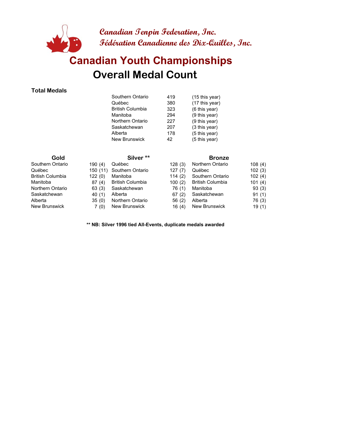

## **Overall Medal Count Canadian Youth Championships**

#### **Total Medals**

| Southern Ontario        | 419 | $(15$ this year) |
|-------------------------|-----|------------------|
| Québec                  | 380 | (17 this year)   |
| <b>British Columbia</b> | 323 | (6 this year)    |
| Manitoba                | 294 | (9 this year)    |
| Northern Ontario        | 227 | (9 this year)    |
| Saskatchewan            | 207 | (3 this year)    |
| Alberta                 | 178 | (5 this year)    |
| <b>New Brunswick</b>    | 42  | (5 this year)    |

| Gold             |         | Silver <sup>**</sup>    |        | <b>Bronze</b>           |        |
|------------------|---------|-------------------------|--------|-------------------------|--------|
| Southern Ontario | 190(4)  | Québec                  | 128(3) | Northern Ontario        | 108(4) |
| Québec           | 150(11) | Southern Ontario        | 127(7) | Québec                  | 102(3) |
| British Columbia | 122(0)  | Manitoba                | 114(2) | Southern Ontario        | 102(4) |
| Manitoba         | 87(4)   | <b>British Columbia</b> | 100(2) | <b>British Columbia</b> | 101(4) |
| Northern Ontario | 63(3)   | Saskatchewan            | 76 (1) | Manitoba                | 93(3)  |
| Saskatchewan     | 40(1)   | Alberta                 | 67(2)  | Saskatchewan            | 91(1)  |
| Alberta          | 35(0)   | Northern Ontario        | 56(2)  | Alberta                 | 76 (3) |
| New Brunswick    | 7(0)    | New Brunswick           | 16(4)  | <b>New Brunswick</b>    | 19(1)  |

**\*\* NB: Silver 1996 tied All-Events, duplicate medals awarded**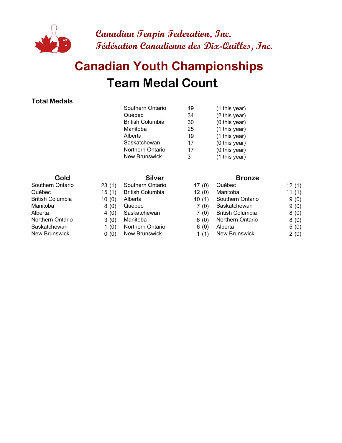

# **Team Medal Count Canadian Youth Championships**

#### **Total Medals**

| Southern Ontario        | 49 | (1 this year) |
|-------------------------|----|---------------|
| Québec                  | 34 | (2 this year) |
| <b>British Columbia</b> | 30 | (0 this year) |
| Manitoba                | 25 | (1 this year) |
| Alberta                 | 19 | (1 this year) |
| Saskatchewan            | 17 | (0 this year) |
| Northern Ontario        | 17 | (0 this year) |
| <b>New Brunswick</b>    | 3  | (1 this year) |
|                         |    |               |

- 
- 
- 
- 
- Alberta 4 (0) Saskatchewan
	-
- Saskatchewan 1 (0) Northern Ontario
- New Brunswick 0 (0) New Brunswick

#### **Gold Silver Silver Bronze**

| Southern Ontario | 23(1) | Southern Ontario        | 17(0)   | Québec                  | 12 $(1)$ |
|------------------|-------|-------------------------|---------|-------------------------|----------|
| Québec           | 15(1) | <b>British Columbia</b> | 12(0)   | Manitoba                | 11(1)    |
| British Columbia | 10(0) | Alberta                 | 10(1)   | Southern Ontario        | 9(0)     |
| Manitoba         | 8(0)  | Québec                  | 7 (0)   | Saskatchewan            | 9(0)     |
| Alberta          | 4(0)  | Saskatchewan            | 7(0)    | <b>British Columbia</b> | 8(0)     |
| Northern Ontario | 3(0)  | Manitoba                | 6(0)    | <b>Northern Ontario</b> | 8(0)     |
| Saskatchewan     | 1(0)  | Northern Ontario        | 6(0)    | Alberta                 | 5(0)     |
| New Brunswick    | 0(0)  | New Brunswick           | 1 $(1)$ | New Brunswick           | 2(0)     |
|                  |       |                         |         |                         |          |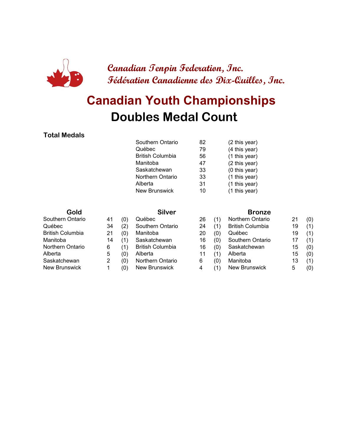

# **Doubles Medal Count Canadian Youth Championships**

#### **Total Medals**

| Southern Ontario        | 82 | (2 this year) |
|-------------------------|----|---------------|
| Québec                  | 79 | (4 this year) |
| <b>British Columbia</b> | 56 | (1 this year) |
| Manitoba                | 47 | (2 this year) |
| Saskatchewan            | 33 | (0 this year) |
| Northern Ontario        | 33 | (1 this year) |
| Alberta                 | 31 | (1 this year) |
| <b>New Brunswick</b>    | 10 | (1 this year) |
|                         |    |               |

| Gold                    |    |     | <b>Silver</b>           |    |     | <b>Bronze</b>           |    |     |  |
|-------------------------|----|-----|-------------------------|----|-----|-------------------------|----|-----|--|
| Southern Ontario        | 41 | (0) | Québec                  | 26 | (1) | Northern Ontario        | 21 | (0) |  |
| Québec                  | 34 | (2) | Southern Ontario        | 24 | (1) | <b>British Columbia</b> | 19 | (1) |  |
| <b>British Columbia</b> | 21 | (0) | Manitoba                | 20 | (0) | Québec                  | 19 | (1) |  |
| Manitoba                | 14 | (1) | Saskatchewan            | 16 | (0) | Southern Ontario        | 17 | (1) |  |
| Northern Ontario        | 6  | (1) | <b>British Columbia</b> | 16 | (0) | Saskatchewan            | 15 | (0) |  |
| Alberta                 | 5  | (0) | Alberta                 | 11 | (1) | Alberta                 | 15 | (0) |  |
| Saskatchewan            |    | (0) | Northern Ontario        | 6  | (0) | Manitoba                | 13 | (1) |  |
| <b>New Brunswick</b>    |    | (0) | New Brunswick           | 4  |     | <b>New Brunswick</b>    | 5  | (0) |  |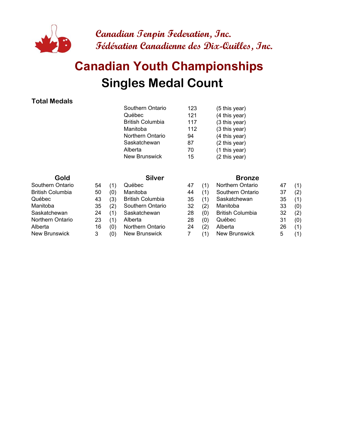

# **Singles Medal Count Canadian Youth Championships**

#### **Total Medals**

| Southern Ontario        | 123 | (5 this year) |
|-------------------------|-----|---------------|
| Québec                  | 121 | (4 this year) |
| <b>British Columbia</b> | 117 | (3 this year) |
| Manitoba                | 112 | (3 this year) |
| Northern Ontario        | 94  | (4 this year) |
| Saskatchewan            | 87  | (2 this year) |
| Alberta                 | 70  | (1 this year) |
| <b>New Brunswick</b>    | 15  | (2 this year) |
|                         |     |               |

| Gold                    |  |
|-------------------------|--|
| Southern Ontario        |  |
| 3ritish Columbia        |  |
| <b>Juébec</b>           |  |
| ∕lanitoba               |  |
| Saskatchewan            |  |
| <b>Northern Ontario</b> |  |
| \lhorto                 |  |

| Gold | <b>Silver</b> | <b>Bronze</b> |
|------|---------------|---------------|
|      |               |               |

| (1) | Québec                  |
|-----|-------------------------|
| (0) | Manitoba                |
| (3) | <b>British Columbia</b> |
| (2) | Southern Ontario        |
| (1) | Saskatchewan            |
| (1) | Alberta                 |
| (0) | Northern Ontaric        |
| (0) | <b>New Brunswick</b>    |
|     |                         |

| Southern Ontario | 54 |     | Québec                  | 47 |     | Northern Ontario        | 47 | (1) |
|------------------|----|-----|-------------------------|----|-----|-------------------------|----|-----|
| British Columbia | 50 | (0) | Manitoba                | 44 |     | Southern Ontario        | 37 | (2) |
| Québec           | 43 | (3) | <b>British Columbia</b> | 35 |     | Saskatchewan            | 35 | (1) |
| Manitoba         | 35 | (2) | Southern Ontario        | 32 | (2) | Manitoba                | 33 | (0) |
| Saskatchewan     | 24 | (1) | Saskatchewan            | 28 | (0) | <b>British Columbia</b> | 32 | (2) |
| Northern Ontario | 23 | 11  | Alberta                 | 28 | (0) | Québec                  | 31 | (0) |
| Alberta          | 16 | (0) | Northern Ontario        | 24 | (2) | Alberta                 | 26 | (1) |
| New Brunswick    |    | (0) | New Brunswick           |    |     | New Brunswick           | 5  | (1) |
|                  |    |     |                         |    |     |                         |    |     |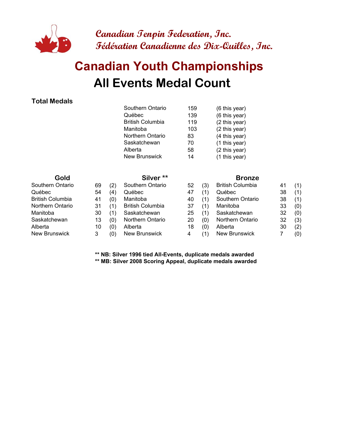

# **All Events Medal Count Canadian Youth Championships**

#### **Total Medals**

|                         |    |     | Southern Ontario        | 159 |     | (6 this year)           |    |     |
|-------------------------|----|-----|-------------------------|-----|-----|-------------------------|----|-----|
|                         |    |     | Québec                  | 139 |     | (6 this year)           |    |     |
|                         |    |     | <b>British Columbia</b> | 119 |     | (2 this year)           |    |     |
|                         |    |     | Manitoba                | 103 |     | $(2 \text{ this year})$ |    |     |
|                         |    |     | Northern Ontario        | 83  |     | (4 this year)           |    |     |
|                         |    |     | Saskatchewan            | 70  |     | (1 this year)           |    |     |
|                         |    |     | Alberta                 | 58  |     | (2 this year)           |    |     |
|                         |    |     | <b>New Brunswick</b>    | 14  |     | (1 this year)           |    |     |
| Gold                    |    |     | Silver <sup>**</sup>    |     |     | <b>Bronze</b>           |    |     |
| Southern Ontario        | 69 | (2) | Southern Ontario        | 52  | (3) | <b>British Columbia</b> | 41 | (1) |
| Québec                  | 54 | (4) | Québec                  | 47  | (1) | Québec                  | 38 | (1) |
| <b>British Columbia</b> | 41 | (0) | Manitoba                | 40  | (1) | Southern Ontario        | 38 | (1) |
| Northern Ontario        | 31 | (1) | <b>British Columbia</b> | 37  | (1) | Manitoba                | 33 | (0) |
| Manitoba                | 30 | (1) | Saskatchewan            | 25  | (1) | Saskatchewan            | 32 | (0) |
| Saskatchewan            | 13 | (0) | Northern Ontario        | 20  | (0) | Northern Ontario        | 32 | (3) |
| Alberta                 | 10 | (0) | Alberta                 | 18  | (0) | Alberta                 | 30 | (2) |
| New Brunswick           | 3  | (0) | New Brunswick           | 4   | (1) | New Brunswick           | 7  | (0) |

**\*\* NB: Silver 1996 tied All-Events, duplicate medals awarded**

**\*\* MB: Silver 2008 Scoring Appeal, duplicate medals awarded**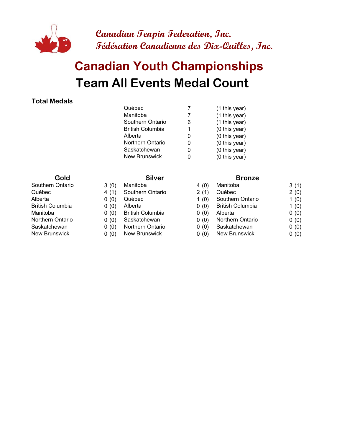

# **Team All Events Medal Count Canadian Youth Championships**

#### **Total Medals**

| Québec                  |   | (1 this year) |
|-------------------------|---|---------------|
| Manitoba                | 7 | (1 this year) |
| Southern Ontario        | 6 | (1 this year) |
| <b>British Columbia</b> | 1 | (0 this year) |
| Alberta                 | O | (0 this year) |
| Northern Ontario        | ი | (0 this year) |
| Saskatchewan            | 0 | (0 this year) |
| New Brunswick           |   | (0 this year) |
|                         |   |               |

- 
- 
- 
- 
- Manitoba 0 (0) British Columbia
	-
	-
- New Brunswick 0 (0) New Brunswick

#### **Gold Silver Silver Bronze**

| Southern Ontario | 3(0) | Manitoba                | 4(0)    | Manitoba                | 3(1) |
|------------------|------|-------------------------|---------|-------------------------|------|
| Québec           | 4(1) | Southern Ontario        | 2(1)    | Québec                  | 2(0) |
| Alberta          | 0(0) | Québec                  | 1 $(0)$ | Southern Ontario        | 1(0) |
| British Columbia | 0(0) | Alberta                 | 0(0)    | <b>British Columbia</b> | 1(0) |
| Manitoba         | 0(0) | <b>British Columbia</b> | 0(0)    | Alberta                 | 0(0) |
| Northern Ontario | 0(0) | Saskatchewan            | 0(0)    | Northern Ontario        | 0(0) |
| Saskatchewan     | 0(0) | Northern Ontario        | 0(0)    | Saskatchewan            | 0(0) |
| New Brunswick    | 0(0) | New Brunswick           | 0(0)    | New Brunswick           | 0(0) |
|                  |      |                         |         |                         |      |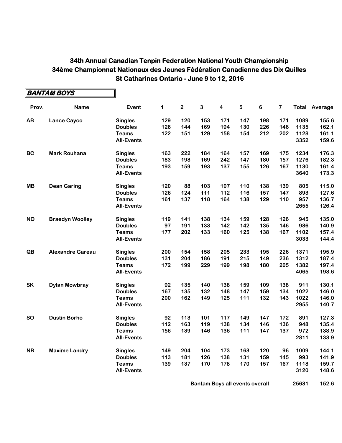|           | <b>BANTAM BOYS</b>      |                   |     |             |              |                         |     |         |                         |       |         |
|-----------|-------------------------|-------------------|-----|-------------|--------------|-------------------------|-----|---------|-------------------------|-------|---------|
| Prov.     | <b>Name</b>             | Event             | 1   | $\mathbf 2$ | $\mathbf{3}$ | $\overline{\mathbf{4}}$ | 5   | $\bf 6$ | $\overline{\mathbf{7}}$ | Total | Average |
| <b>AB</b> | <b>Lance Cayco</b>      | <b>Singles</b>    | 129 | 120         | 153          | 171                     | 147 | 198     | 171                     | 1089  | 155.6   |
|           |                         | <b>Doubles</b>    | 126 | 144         | 169          | 194                     | 130 | 226     | 146                     | 1135  | 162.1   |
|           |                         | <b>Teams</b>      | 122 | 151         | 129          | 158                     | 154 | 212     | 202                     | 1128  | 161.1   |
|           |                         | <b>All-Events</b> |     |             |              |                         |     |         |                         | 3352  | 159.6   |
| <b>BC</b> | <b>Mark Rouhana</b>     | <b>Singles</b>    | 163 | 222         | 184          | 164                     | 157 | 169     | 175                     | 1234  | 176.3   |
|           |                         | <b>Doubles</b>    | 183 | 198         | 169          | 242                     | 147 | 180     | 157                     | 1276  | 182.3   |
|           |                         | <b>Teams</b>      | 193 | 159         | 193          | 137                     | 155 | 126     | 167                     | 1130  | 161.4   |
|           |                         | <b>All-Events</b> |     |             |              |                         |     |         |                         | 3640  | 173.3   |
| <b>MB</b> | <b>Dean Garing</b>      | <b>Singles</b>    | 120 | 88          | 103          | 107                     | 110 | 138     | 139                     | 805   | 115.0   |
|           |                         | <b>Doubles</b>    | 126 | 124         | 111          | 112                     | 116 | 157     | 147                     | 893   | 127.6   |
|           |                         | <b>Teams</b>      | 161 | 137         | 118          | 164                     | 138 | 129     | 110                     | 957   | 136.7   |
|           |                         | <b>All-Events</b> |     |             |              |                         |     |         |                         | 2655  | 126.4   |
| <b>NO</b> | <b>Braedyn Woolley</b>  | <b>Singles</b>    | 119 | 141         | 138          | 134                     | 159 | 128     | 126                     | 945   | 135.0   |
|           |                         | <b>Doubles</b>    | 97  | 191         | 133          | 142                     | 142 | 135     | 146                     | 986   | 140.9   |
|           |                         | <b>Teams</b>      | 177 | 202         | 133          | 160                     | 125 | 138     | 167                     | 1102  | 157.4   |
|           |                         | <b>All-Events</b> |     |             |              |                         |     |         |                         | 3033  | 144.4   |
| QB        | <b>Alexandre Gareau</b> | <b>Singles</b>    | 200 | 154         | 158          | 205                     | 233 | 195     | 226                     | 1371  | 195.9   |
|           |                         | <b>Doubles</b>    | 131 | 204         | 186          | 191                     | 215 | 149     | 236                     | 1312  | 187.4   |
|           |                         | <b>Teams</b>      | 172 | 199         | 229          | 199                     | 198 | 180     | 205                     | 1382  | 197.4   |
|           |                         | <b>All-Events</b> |     |             |              |                         |     |         |                         | 4065  | 193.6   |
| <b>SK</b> | <b>Dylan Mowbray</b>    | <b>Singles</b>    | 92  | 135         | 140          | 138                     | 159 | 109     | 138                     | 911   | 130.1   |
|           |                         | <b>Doubles</b>    | 167 | 135         | 132          | 148                     | 147 | 159     | 134                     | 1022  | 146.0   |
|           |                         | <b>Teams</b>      | 200 | 162         | 149          | 125                     | 111 | 132     | 143                     | 1022  | 146.0   |
|           |                         | <b>All-Events</b> |     |             |              |                         |     |         |                         | 2955  | 140.7   |
| <b>SO</b> | <b>Dustin Borho</b>     | <b>Singles</b>    | 92  | 113         | 101          | 117                     | 149 | 147     | 172                     | 891   | 127.3   |
|           |                         | <b>Doubles</b>    | 112 | 163         | 119          | 138                     | 134 | 146     | 136                     | 948   | 135.4   |
|           |                         | <b>Teams</b>      | 156 | 139         | 146          | 136                     | 111 | 147     | 137                     | 972   | 138.9   |
|           |                         | <b>All-Events</b> |     |             |              |                         |     |         |                         | 2811  | 133.9   |
| <b>NB</b> | <b>Maxime Landry</b>    | <b>Singles</b>    | 149 | 204         | 104          | 173                     | 163 | 120     | 96                      | 1009  | 144.1   |
|           |                         | <b>Doubles</b>    | 113 | 181         | 126          | 138                     | 131 | 159     | 145                     | 993   | 141.9   |
|           |                         | <b>Teams</b>      | 139 | 137         | 170          | 178                     | 170 | 157     | 167                     | 1118  | 159.7   |
|           |                         | <b>All-Events</b> |     |             |              |                         |     |         |                         | 3120  | 148.6   |

**Bantam Boys all events overall <b>158.6 152.6**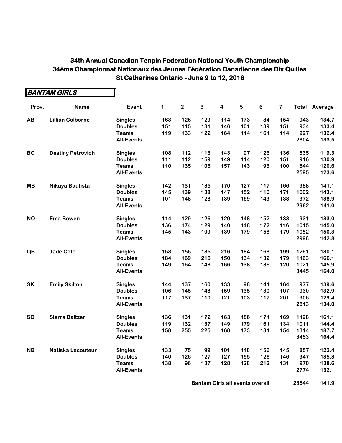|           | <b>BANTAM GIRLS</b>      |                   |             |                |              |                         |     |     |                         |      |                      |
|-----------|--------------------------|-------------------|-------------|----------------|--------------|-------------------------|-----|-----|-------------------------|------|----------------------|
| Prov.     | <b>Name</b>              | Event             | $\mathbf 1$ | $\overline{2}$ | $\mathbf{3}$ | $\overline{\mathbf{4}}$ | 5   | 6   | $\overline{\mathbf{7}}$ |      | <b>Total Average</b> |
| <b>AB</b> | <b>Lillian Colborne</b>  | <b>Singles</b>    | 163         | 126            | 129          | 114                     | 173 | 84  | 154                     | 943  | 134.7                |
|           |                          | <b>Doubles</b>    | 151         | 115            | 131          | 146                     | 101 | 139 | 151                     | 934  | 133.4                |
|           |                          | <b>Teams</b>      | 119         | 133            | 122          | 164                     | 114 | 161 | 114                     | 927  | 132.4                |
|           |                          | <b>All-Events</b> |             |                |              |                         |     |     |                         | 2804 | 133.5                |
| <b>BC</b> | <b>Destiny Petrovich</b> | <b>Singles</b>    | 108         | 112            | 113          | 143                     | 97  | 126 | 136                     | 835  | 119.3                |
|           |                          | <b>Doubles</b>    | 111         | 112            | 159          | 149                     | 114 | 120 | 151                     | 916  | 130.9                |
|           |                          | <b>Teams</b>      | 110         | 135            | 106          | 157                     | 143 | 93  | 100                     | 844  | 120.6                |
|           |                          | <b>All-Events</b> |             |                |              |                         |     |     |                         | 2595 | 123.6                |
| MB        | Nikaya Bautista          | <b>Singles</b>    | 142         | 131            | 135          | 170                     | 127 | 117 | 166                     | 988  | 141.1                |
|           |                          | <b>Doubles</b>    | 145         | 139            | 138          | 147                     | 152 | 110 | 171                     | 1002 | 143.1                |
|           |                          | <b>Teams</b>      | 101         | 148            | 128          | 139                     | 169 | 149 | 138                     | 972  | 138.9                |
|           |                          | <b>All-Events</b> |             |                |              |                         |     |     |                         | 2962 | 141.0                |
| <b>NO</b> | <b>Ema Bowen</b>         | <b>Singles</b>    | 114         | 129            | 126          | 129                     | 148 | 152 | 133                     | 931  | 133.0                |
|           |                          | <b>Doubles</b>    | 136         | 174            | 129          | 140                     | 148 | 172 | 116                     | 1015 | 145.0                |
|           |                          | <b>Teams</b>      | 145         | 143            | 109          | 139                     | 179 | 158 | 179                     | 1052 | 150.3                |
|           |                          | <b>All-Events</b> |             |                |              |                         |     |     |                         | 2998 | 142.8                |
| QB        | Jade Cõte                | <b>Singles</b>    | 153         | 156            | 185          | 216                     | 184 | 168 | 199                     | 1261 | 180.1                |
|           |                          | <b>Doubles</b>    | 184         | 169            | 215          | 150                     | 134 | 132 | 179                     | 1163 | 166.1                |
|           |                          | <b>Teams</b>      | 149         | 164            | 148          | 166                     | 138 | 136 | 120                     | 1021 | 145.9                |
|           |                          | <b>All-Events</b> |             |                |              |                         |     |     |                         | 3445 | 164.0                |
| SK        | <b>Emily Skilton</b>     | <b>Singles</b>    | 144         | 137            | 160          | 133                     | 98  | 141 | 164                     | 977  | 139.6                |
|           |                          | <b>Doubles</b>    | 106         | 145            | 148          | 159                     | 135 | 130 | 107                     | 930  | 132.9                |
|           |                          | <b>Teams</b>      | 117         | 137            | 110          | 121                     | 103 | 117 | 201                     | 906  | 129.4                |
|           |                          | <b>All-Events</b> |             |                |              |                         |     |     |                         | 2813 | 134.0                |
| <b>SO</b> | <b>Sierra Baltzer</b>    | <b>Singles</b>    | 136         | 131            | 172          | 163                     | 186 | 171 | 169                     | 1128 | 161.1                |
|           |                          | <b>Doubles</b>    | 119         | 132            | 137          | 149                     | 179 | 161 | 134                     | 1011 | 144.4                |
|           |                          | <b>Teams</b>      | 158         | 255            | 225          | 168                     | 173 | 181 | 154                     | 1314 | 187.7                |
|           |                          | <b>All-Events</b> |             |                |              |                         |     |     |                         | 3453 | 164.4                |
| <b>NB</b> | Natiska Lecouteur        | <b>Singles</b>    | 133         | 75             | 99           | 101                     | 148 | 156 | 145                     | 857  | 122.4                |
|           |                          | <b>Doubles</b>    | 140         | 126            | 127          | 127                     | 155 | 126 | 146                     | 947  | 135.3                |
|           |                          | <b>Teams</b>      | 138         | 96             | 137          | 128                     | 128 | 212 | 131                     | 970  | 138.6                |
|           |                          | <b>All-Events</b> |             |                |              |                         |     |     |                         | 2774 | 132.1                |

**Bantam Girls all events overall <b>1688** 23844 141.9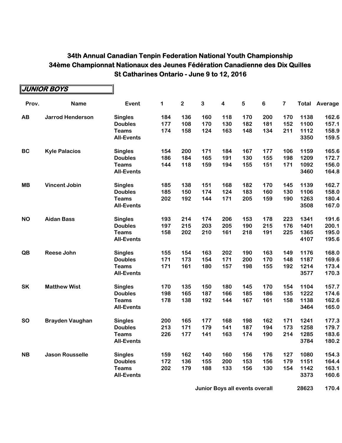|           | JUNIOR BOYS             |                   |     |              |              |                         |     |                  |                         |      |                      |
|-----------|-------------------------|-------------------|-----|--------------|--------------|-------------------------|-----|------------------|-------------------------|------|----------------------|
| Prov.     | <b>Name</b>             | Event             | 1   | $\mathbf{2}$ | $\mathbf{3}$ | $\overline{\mathbf{4}}$ | 5   | $\boldsymbol{6}$ | $\overline{\mathbf{7}}$ |      | <b>Total Average</b> |
| AB        | <b>Jarrod Henderson</b> | <b>Singles</b>    | 184 | 136          | 160          | 118                     | 170 | 200              | 170                     | 1138 | 162.6                |
|           |                         | <b>Doubles</b>    | 177 | 108          | 170          | 130                     | 182 | 181              | 152                     | 1100 | 157.1                |
|           |                         | <b>Teams</b>      | 174 | 158          | 124          | 163                     | 148 | 134              | 211                     | 1112 | 158.9                |
|           |                         | <b>All-Events</b> |     |              |              |                         |     |                  |                         | 3350 | 159.5                |
| <b>BC</b> | <b>Kyle Palacios</b>    | <b>Singles</b>    | 154 | 200          | 171          | 184                     | 167 | 177              | 106                     | 1159 | 165.6                |
|           |                         | <b>Doubles</b>    | 186 | 184          | 165          | 191                     | 130 | 155              | 198                     | 1209 | 172.7                |
|           |                         | <b>Teams</b>      | 144 | 118          | 159          | 194                     | 155 | 151              | 171                     | 1092 | 156.0                |
|           |                         | <b>All-Events</b> |     |              |              |                         |     |                  |                         | 3460 | 164.8                |
| <b>MB</b> | <b>Vincent Jobin</b>    | <b>Singles</b>    | 185 | 138          | 151          | 168                     | 182 | 170              | 145                     | 1139 | 162.7                |
|           |                         | <b>Doubles</b>    | 185 | 150          | 174          | 124                     | 183 | 160              | 130                     | 1106 | 158.0                |
|           |                         | <b>Teams</b>      | 202 | 192          | 144          | 171                     | 205 | 159              | 190                     | 1263 | 180.4                |
|           |                         | <b>All-Events</b> |     |              |              |                         |     |                  |                         | 3508 | 167.0                |
| <b>NO</b> | <b>Aidan Bass</b>       | <b>Singles</b>    | 193 | 214          | 174          | 206                     | 153 | 178              | 223                     | 1341 | 191.6                |
|           |                         | <b>Doubles</b>    | 197 | 215          | 203          | 205                     | 190 | 215              | 176                     | 1401 | 200.1                |
|           |                         | <b>Teams</b>      | 158 | 202          | 210          | 161                     | 218 | 191              | 225                     | 1365 | 195.0                |
|           |                         | <b>All-Events</b> |     |              |              |                         |     |                  |                         | 4107 | 195.6                |
| QB        | <b>Reese John</b>       | <b>Singles</b>    | 155 | 154          | 163          | 202                     | 190 | 163              | 149                     | 1176 | 168.0                |
|           |                         | <b>Doubles</b>    | 171 | 173          | 154          | 171                     | 200 | 170              | 148                     | 1187 | 169.6                |
|           |                         | <b>Teams</b>      | 171 | 161          | 180          | 157                     | 198 | 155              | 192                     | 1214 | 173.4                |
|           |                         | <b>All-Events</b> |     |              |              |                         |     |                  |                         | 3577 | 170.3                |
| SK        | <b>Matthew Wist</b>     | <b>Singles</b>    | 170 | 135          | 150          | 180                     | 145 | 170              | 154                     | 1104 | 157.7                |
|           |                         | <b>Doubles</b>    | 198 | 165          | 187          | 166                     | 185 | 186              | 135                     | 1222 | 174.6                |
|           |                         | <b>Teams</b>      | 178 | 138          | 192          | 144                     | 167 | 161              | 158                     | 1138 | 162.6                |
|           |                         | <b>All-Events</b> |     |              |              |                         |     |                  |                         | 3464 | 165.0                |
| <b>SO</b> | <b>Brayden Vaughan</b>  | <b>Singles</b>    | 200 | 165          | 177          | 168                     | 198 | 162              | 171                     | 1241 | 177.3                |
|           |                         | <b>Doubles</b>    | 213 | 171          | 179          | 141                     | 187 | 194              | 173                     | 1258 | 179.7                |
|           |                         | <b>Teams</b>      | 226 | 177          | 141          | 163                     | 174 | 190              | 214                     | 1285 | 183.6                |
|           |                         | <b>All-Events</b> |     |              |              |                         |     |                  |                         | 3784 | 180.2                |
| <b>NB</b> | <b>Jason Rousselle</b>  | <b>Singles</b>    | 159 | 162          | 140          | 160                     | 156 | 176              | 127                     | 1080 | 154.3                |
|           |                         | <b>Doubles</b>    | 172 | 136          | 155          | 200                     | 153 | 156              | 179                     | 1151 | 164.4                |
|           |                         | <b>Teams</b>      | 202 | 179          | 188          | 133                     | 156 | 130              | 154                     | 1142 | 163.1                |
|           |                         | <b>All-Events</b> |     |              |              |                         |     |                  |                         | 3373 | 160.6                |

**Junior Boys all events overall 168 28623 170.4**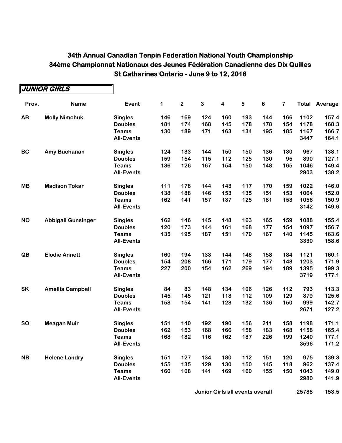|           | JUNIOR GIRLS              |                   |     |                |              |                         |     |         |                |      |                      |
|-----------|---------------------------|-------------------|-----|----------------|--------------|-------------------------|-----|---------|----------------|------|----------------------|
| Prov.     | <b>Name</b>               | Event             | 1   | $\overline{2}$ | $\mathbf{3}$ | $\overline{\mathbf{4}}$ | 5   | $\bf 6$ | $\overline{7}$ |      | <b>Total Average</b> |
| AB        | <b>Molly Nimchuk</b>      | <b>Singles</b>    | 146 | 169            | 124          | 160                     | 193 | 144     | 166            | 1102 | 157.4                |
|           |                           | <b>Doubles</b>    | 181 | 174            | 168          | 145                     | 178 | 178     | 154            | 1178 | 168.3                |
|           |                           | <b>Teams</b>      | 130 | 189            | 171          | 163                     | 134 | 195     | 185            | 1167 | 166.7                |
|           |                           | <b>All-Events</b> |     |                |              |                         |     |         |                | 3447 | 164.1                |
| <b>BC</b> | Amy Buchanan              | <b>Singles</b>    | 124 | 133            | 144          | 150                     | 150 | 136     | 130            | 967  | 138.1                |
|           |                           | <b>Doubles</b>    | 159 | 154            | 115          | 112                     | 125 | 130     | 95             | 890  | 127.1                |
|           |                           | <b>Teams</b>      | 136 | 126            | 167          | 154                     | 150 | 148     | 165            | 1046 | 149.4                |
|           |                           | <b>All-Events</b> |     |                |              |                         |     |         |                | 2903 | 138.2                |
| MВ        | <b>Madison Tokar</b>      | <b>Singles</b>    | 111 | 178            | 144          | 143                     | 117 | 170     | 159            | 1022 | 146.0                |
|           |                           | <b>Doubles</b>    | 138 | 188            | 146          | 153                     | 135 | 151     | 153            | 1064 | 152.0                |
|           |                           | <b>Teams</b>      | 162 | 141            | 157          | 137                     | 125 | 181     | 153            | 1056 | 150.9                |
|           |                           | <b>All-Events</b> |     |                |              |                         |     |         |                | 3142 | 149.6                |
| <b>NO</b> | <b>Abbigail Gunsinger</b> | <b>Singles</b>    | 162 | 146            | 145          | 148                     | 163 | 165     | 159            | 1088 | 155.4                |
|           |                           | <b>Doubles</b>    | 120 | 173            | 144          | 161                     | 168 | 177     | 154            | 1097 | 156.7                |
|           |                           | <b>Teams</b>      | 135 | 195            | 187          | 151                     | 170 | 167     | 140            | 1145 | 163.6                |
|           |                           | <b>All-Events</b> |     |                |              |                         |     |         |                | 3330 | 158.6                |
| QB        | <b>Elodie Annett</b>      | <b>Singles</b>    | 160 | 194            | 133          | 144                     | 148 | 158     | 184            | 1121 | 160.1                |
|           |                           | <b>Doubles</b>    | 154 | 208            | 166          | 171                     | 179 | 177     | 148            | 1203 | 171.9                |
|           |                           | <b>Teams</b>      | 227 | 200            | 154          | 162                     | 269 | 194     | 189            | 1395 | 199.3                |
|           |                           | <b>All-Events</b> |     |                |              |                         |     |         |                | 3719 | 177.1                |
| <b>SK</b> | <b>Amellia Campbell</b>   | <b>Singles</b>    | 84  | 83             | 148          | 134                     | 106 | 126     | 112            | 793  | 113.3                |
|           |                           | <b>Doubles</b>    | 145 | 145            | 121          | 118                     | 112 | 109     | 129            | 879  | 125.6                |
|           |                           | <b>Teams</b>      | 158 | 154            | 141          | 128                     | 132 | 136     | 150            | 999  | 142.7                |
|           |                           | <b>All-Events</b> |     |                |              |                         |     |         |                | 2671 | 127.2                |
| <b>SO</b> | <b>Meagan Muir</b>        | <b>Singles</b>    | 151 | 140            | 192          | 190                     | 156 | 211     | 158            | 1198 | 171.1                |
|           |                           | <b>Doubles</b>    | 162 | 153            | 168          | 166                     | 158 | 183     | 168            | 1158 | 165.4                |
|           |                           | <b>Teams</b>      | 168 | 182            | 116          | 162                     | 187 | 226     | 199            | 1240 | 177.1                |
|           |                           | <b>All-Events</b> |     |                |              |                         |     |         |                | 3596 | 171.2                |
| <b>NB</b> | <b>Helene Landry</b>      | <b>Singles</b>    | 151 | 127            | 134          | 180                     | 112 | 151     | 120            | 975  | 139.3                |
|           |                           | <b>Doubles</b>    | 155 | 135            | 129          | 130                     | 150 | 145     | 118            | 962  | 137.4                |
|           |                           | <b>Teams</b>      | 160 | 108            | 141          | 169                     | 160 | 155     | 150            | 1043 | 149.0                |
|           |                           | <b>All-Events</b> |     |                |              |                         |     |         |                | 2980 | 141.9                |

**Junior Girls all events overall 168 25788 153.5**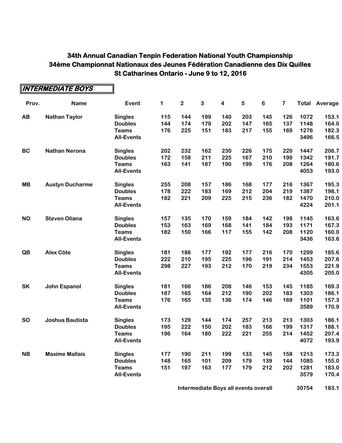|           | <b>INTERMEDIATE BOYS</b> |                   |     |             |              |                         |            |         |                         |      |                      |
|-----------|--------------------------|-------------------|-----|-------------|--------------|-------------------------|------------|---------|-------------------------|------|----------------------|
| Prov.     | <b>Name</b>              | Event             | 1   | $\mathbf 2$ | $\mathbf{3}$ | $\overline{\mathbf{4}}$ | $\sqrt{5}$ | $\bf 6$ | $\overline{\mathbf{7}}$ |      | <b>Total Average</b> |
| AB        | <b>Nathan Taylor</b>     | <b>Singles</b>    | 115 | 144         | 199          | 140                     | 203        | 145     | 126                     | 1072 | 153.1                |
|           |                          | <b>Doubles</b>    | 144 | 174         | 179          | 202                     | 147        | 165     | 137                     | 1148 | 164.0                |
|           |                          | <b>Teams</b>      | 176 | 225         | 151          | 183                     | 217        | 155     | 169                     | 1276 | 182.3                |
|           |                          | <b>All-Events</b> |     |             |              |                         |            |         |                         | 3496 | 166.5                |
| <b>BC</b> | <b>Nathan Nerona</b>     | <b>Singles</b>    | 202 | 232         | 162          | 230                     | 226        | 175     | 220                     | 1447 | 206.7                |
|           |                          | <b>Doubles</b>    | 172 | 158         | 211          | 225                     | 167        | 210     | 199                     | 1342 | 191.7                |
|           |                          | <b>Teams</b>      | 163 | 141         | 187          | 190                     | 199        | 176     | 208                     | 1264 | 180.6                |
|           |                          | <b>All-Events</b> |     |             |              |                         |            |         |                         | 4053 | 193.0                |
| MB        | <b>Austyn Ducharme</b>   | <b>Singles</b>    | 255 | 208         | 157          | 186                     | 168        | 177     | 216                     | 1367 | 195.3                |
|           |                          | <b>Doubles</b>    | 178 | 222         | 183          | 169                     | 212        | 204     | 219                     | 1387 | 198.1                |
|           |                          | <b>Teams</b>      | 182 | 221         | 209          | 225                     | 215        | 236     | 182                     | 1470 | 210.0                |
|           |                          | <b>All-Events</b> |     |             |              |                         |            |         |                         | 4224 | 201.1                |
| <b>NO</b> | <b>Steven Oliana</b>     | <b>Singles</b>    | 157 | 135         | 170          | 159                     | 184        | 142     | 198                     | 1145 | 163.6                |
|           |                          | <b>Doubles</b>    | 153 | 163         | 169          | 168                     | 141        | 184     | 193                     | 1171 | 167.3                |
|           |                          | <b>Teams</b>      | 182 | 150         | 166          | 117                     | 155        | 142     | 208                     | 1120 | 160.0                |
|           |                          | <b>All-Events</b> |     |             |              |                         |            |         |                         | 3436 | 163.6                |
| QB        | <b>Alex Cõte</b>         | <b>Singles</b>    | 181 | 186         | 177          | 192                     | 177        | 216     | 170                     | 1299 | 185.6                |
|           |                          | <b>Doubles</b>    | 222 | 210         | 195          | 225                     | 196        | 191     | 214                     | 1453 | 207.6                |
|           |                          | <b>Teams</b>      | 298 | 227         | 193          | 212                     | 170        | 219     | 234                     | 1553 | 221.9                |
|           |                          | <b>All-Events</b> |     |             |              |                         |            |         |                         | 4305 | 205.0                |
| SK        | <b>John Espanol</b>      | <b>Singles</b>    | 181 | 166         | 186          | 208                     | 146        | 153     | 145                     | 1185 | 169.3                |
|           |                          | <b>Doubles</b>    | 187 | 165         | 164          | 212                     | 190        | 202     | 183                     | 1303 | 186.1                |
|           |                          | <b>Teams</b>      | 176 | 165         | 135          | 136                     | 174        | 146     | 169                     | 1101 | 157.3                |
|           |                          | <b>All-Events</b> |     |             |              |                         |            |         |                         | 3589 | 170.9                |
| <b>SO</b> | Joshua Bautista          | <b>Singles</b>    | 173 | 129         | 144          | 174                     | 257        | 213     | 213                     | 1303 | 186.1                |
|           |                          | <b>Doubles</b>    | 195 | 222         | 150          | 202                     | 183        | 166     | 199                     | 1317 | 188.1                |
|           |                          | <b>Teams</b>      | 196 | 164         | 180          | 222                     | 221        | 255     | 214                     | 1452 | 207.4                |
|           |                          | <b>All-Events</b> |     |             |              |                         |            |         |                         | 4072 | 193.9                |
| <b>NB</b> | <b>Maxime Mallais</b>    | <b>Singles</b>    | 177 | 190         | 211          | 199                     | 133        | 145     | 158                     | 1213 | 173.3                |
|           |                          | <b>Doubles</b>    | 148 | 165         | 101          | 209                     | 179        | 139     | 144                     | 1085 | 155.0                |
|           |                          | <b>Teams</b>      | 151 | 197         | 163          | 177                     | 179        | 212     | 202                     | 1281 | 183.0                |
|           |                          | <b>All-Events</b> |     |             |              |                         |            |         |                         | 3579 | 170.4                |

**Intermediate Boys all events overall <b>168** 183.1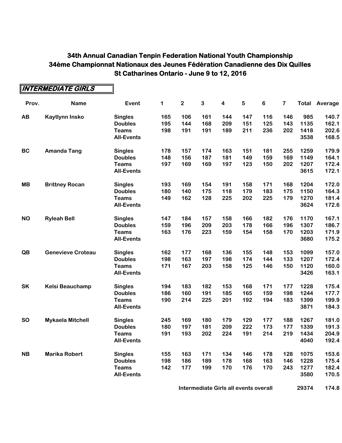|           | <b>INTERMEDIATE GIRLS</b> |                   |             |                         |              |                         |     |         |                         |      |                      |
|-----------|---------------------------|-------------------|-------------|-------------------------|--------------|-------------------------|-----|---------|-------------------------|------|----------------------|
| Prov.     | <b>Name</b>               | Event             | $\mathbf 1$ | $\overline{\mathbf{2}}$ | $\mathbf{3}$ | $\overline{\mathbf{4}}$ | 5   | $\bf 6$ | $\overline{\mathbf{7}}$ |      | <b>Total Average</b> |
| AB        | <b>Kaytlynn Insko</b>     | <b>Singles</b>    | 165         | 106                     | 161          | 144                     | 147 | 116     | 146                     | 985  | 140.7                |
|           |                           | <b>Doubles</b>    | 195         | 144                     | 168          | 209                     | 151 | 125     | 143                     | 1135 | 162.1                |
|           |                           | <b>Teams</b>      | 198         | 191                     | 191          | 189                     | 211 | 236     | 202                     | 1418 | 202.6                |
|           |                           | <b>All-Events</b> |             |                         |              |                         |     |         |                         | 3538 | 168.5                |
| <b>BC</b> | <b>Amanda Tang</b>        | <b>Singles</b>    | 178         | 157                     | 174          | 163                     | 151 | 181     | 255                     | 1259 | 179.9                |
|           |                           | <b>Doubles</b>    | 148         | 156                     | 187          | 181                     | 149 | 159     | 169                     | 1149 | 164.1                |
|           |                           | <b>Teams</b>      | 197         | 169                     | 169          | 197                     | 123 | 150     | 202                     | 1207 | 172.4                |
|           |                           | <b>All-Events</b> |             |                         |              |                         |     |         |                         | 3615 | 172.1                |
| <b>MB</b> | <b>Brittney Rocan</b>     | <b>Singles</b>    | 193         | 169                     | 154          | 191                     | 158 | 171     | 168                     | 1204 | 172.0                |
|           |                           | <b>Doubles</b>    | 180         | 140                     | 175          | 118                     | 179 | 183     | 175                     | 1150 | 164.3                |
|           |                           | <b>Teams</b>      | 149         | 162                     | 128          | 225                     | 202 | 225     | 179                     | 1270 | 181.4                |
|           |                           | <b>All-Events</b> |             |                         |              |                         |     |         |                         | 3624 | 172.6                |
| <b>NO</b> | <b>Ryleah Bell</b>        | <b>Singles</b>    | 147         | 184                     | 157          | 158                     | 166 | 182     | 176                     | 1170 | 167.1                |
|           |                           | <b>Doubles</b>    | 159         | 196                     | 209          | 203                     | 178 | 166     | 196                     | 1307 | 186.7                |
|           |                           | <b>Teams</b>      | 163         | 176                     | 223          | 159                     | 154 | 158     | 170                     | 1203 | 171.9                |
|           |                           | <b>All-Events</b> |             |                         |              |                         |     |         |                         | 3680 | 175.2                |
| QB        | <b>Genevieve Croteau</b>  | <b>Singles</b>    | 162         | 177                     | 168          | 136                     | 155 | 148     | 153                     | 1099 | 157.0                |
|           |                           | <b>Doubles</b>    | 198         | 163                     | 197          | 198                     | 174 | 144     | 133                     | 1207 | 172.4                |
|           |                           | <b>Teams</b>      | 171         | 167                     | 203          | 158                     | 125 | 146     | 150                     | 1120 | 160.0                |
|           |                           | <b>All-Events</b> |             |                         |              |                         |     |         |                         | 3426 | 163.1                |
| SK        | <b>Kelsi Beauchamp</b>    | <b>Singles</b>    | 194         | 183                     | 182          | 153                     | 168 | 171     | 177                     | 1228 | 175.4                |
|           |                           | <b>Doubles</b>    | 186         | 160                     | 191          | 185                     | 165 | 159     | 198                     | 1244 | 177.7                |
|           |                           | <b>Teams</b>      | 190         | 214                     | 225          | 201                     | 192 | 194     | 183                     | 1399 | 199.9                |
|           |                           | <b>All-Events</b> |             |                         |              |                         |     |         |                         | 3871 | 184.3                |
| <b>SO</b> | <b>Mykaela Mitchell</b>   | <b>Singles</b>    | 245         | 169                     | 180          | 179                     | 129 | 177     | 188                     | 1267 | 181.0                |
|           |                           | <b>Doubles</b>    | 180         | 197                     | 181          | 209                     | 222 | 173     | 177                     | 1339 | 191.3                |
|           |                           | <b>Teams</b>      | 191         | 193                     | 202          | 224                     | 191 | 214     | 219                     | 1434 | 204.9                |
|           |                           | <b>All-Events</b> |             |                         |              |                         |     |         |                         | 4040 | 192.4                |
| <b>NB</b> | <b>Marika Robert</b>      | <b>Singles</b>    | 155         | 163                     | 171          | 134                     | 146 | 178     | 128                     | 1075 | 153.6                |
|           |                           | <b>Doubles</b>    | 198         | 186                     | 189          | 178                     | 168 | 163     | 146                     | 1228 | 175.4                |
|           |                           | <b>Teams</b>      | 142         | 177                     | 199          | 170                     | 176 | 170     | 243                     | 1277 | 182.4                |
|           |                           | <b>All-Events</b> |             |                         |              |                         |     |         |                         | 3580 | 170.5                |

**Intermediate Girls all events overall <b>1688** 29374 174.8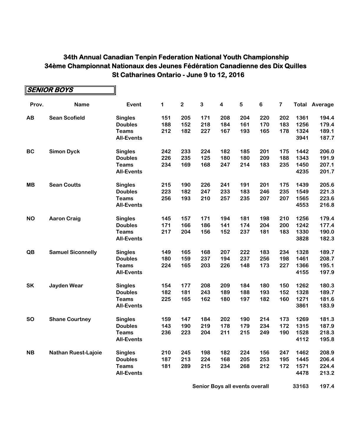|           | <b>SENIOR BOYS</b>         |                   |             |             |     |                         |     |         |                         |      |                      |
|-----------|----------------------------|-------------------|-------------|-------------|-----|-------------------------|-----|---------|-------------------------|------|----------------------|
| Prov.     | <b>Name</b>                | Event             | $\mathbf 1$ | $\mathbf 2$ | 3   | $\overline{\mathbf{4}}$ | 5   | $\bf 6$ | $\overline{\mathbf{7}}$ |      | <b>Total Average</b> |
| AB        | <b>Sean Scofield</b>       | <b>Singles</b>    | 151         | 205         | 171 | 208                     | 204 | 220     | 202                     | 1361 | 194.4                |
|           |                            | <b>Doubles</b>    | 188         | 152         | 218 | 184                     | 161 | 170     | 183                     | 1256 | 179.4                |
|           |                            | <b>Teams</b>      | 212         | 182         | 227 | 167                     | 193 | 165     | 178                     | 1324 | 189.1                |
|           |                            | <b>All-Events</b> |             |             |     |                         |     |         |                         | 3941 | 187.7                |
| BC        | <b>Simon Dyck</b>          | <b>Singles</b>    | 242         | 233         | 224 | 182                     | 185 | 201     | 175                     | 1442 | 206.0                |
|           |                            | <b>Doubles</b>    | 226         | 235         | 125 | 180                     | 180 | 209     | 188                     | 1343 | 191.9                |
|           |                            | <b>Teams</b>      | 234         | 169         | 168 | 247                     | 214 | 183     | 235                     | 1450 | 207.1                |
|           |                            | <b>All-Events</b> |             |             |     |                         |     |         |                         | 4235 | 201.7                |
| <b>MB</b> | <b>Sean Coutts</b>         | <b>Singles</b>    | 215         | 190         | 226 | 241                     | 191 | 201     | 175                     | 1439 | 205.6                |
|           |                            | <b>Doubles</b>    | 223         | 182         | 247 | 233                     | 183 | 246     | 235                     | 1549 | 221.3                |
|           |                            | <b>Teams</b>      | 256         | 193         | 210 | 257                     | 235 | 207     | 207                     | 1565 | 223.6                |
|           |                            | <b>All-Events</b> |             |             |     |                         |     |         |                         | 4553 | 216.8                |
| <b>NO</b> | <b>Aaron Craig</b>         | <b>Singles</b>    | 145         | 157         | 171 | 194                     | 181 | 198     | 210                     | 1256 | 179.4                |
|           |                            | <b>Doubles</b>    | 171         | 166         | 186 | 141                     | 174 | 204     | 200                     | 1242 | 177.4                |
|           |                            | <b>Teams</b>      | 217         | 204         | 156 | 152                     | 237 | 181     | 183                     | 1330 | 190.0                |
|           |                            | <b>All-Events</b> |             |             |     |                         |     |         |                         | 3828 | 182.3                |
| QB        | <b>Samuel Siconnelly</b>   | <b>Singles</b>    | 149         | 165         | 168 | 207                     | 222 | 183     | 234                     | 1328 | 189.7                |
|           |                            | <b>Doubles</b>    | 180         | 159         | 237 | 194                     | 237 | 256     | 198                     | 1461 | 208.7                |
|           |                            | <b>Teams</b>      | 224         | 165         | 203 | 226                     | 148 | 173     | 227                     | 1366 | 195.1                |
|           |                            | <b>All-Events</b> |             |             |     |                         |     |         |                         | 4155 | 197.9                |
| <b>SK</b> | Jayden Wear                | <b>Singles</b>    | 154         | 177         | 208 | 209                     | 184 | 180     | 150                     | 1262 | 180.3                |
|           |                            | <b>Doubles</b>    | 182         | 181         | 243 | 189                     | 188 | 193     | 152                     | 1328 | 189.7                |
|           |                            | <b>Teams</b>      | 225         | 165         | 162 | 180                     | 197 | 182     | 160                     | 1271 | 181.6                |
|           |                            | <b>All-Events</b> |             |             |     |                         |     |         |                         | 3861 | 183.9                |
| <b>SO</b> | <b>Shane Courtney</b>      | <b>Singles</b>    | 159         | 147         | 184 | 202                     | 190 | 214     | 173                     | 1269 | 181.3                |
|           |                            | <b>Doubles</b>    | 143         | 190         | 219 | 178                     | 179 | 234     | 172                     | 1315 | 187.9                |
|           |                            | <b>Teams</b>      | 236         | 223         | 204 | 211                     | 215 | 249     | 190                     | 1528 | 218.3                |
|           |                            | <b>All-Events</b> |             |             |     |                         |     |         |                         | 4112 | 195.8                |
| <b>NB</b> | <b>Nathan Ruest-Lajoie</b> | <b>Singles</b>    | 210         | 245         | 198 | 182                     | 224 | 156     | 247                     | 1462 | 208.9                |
|           |                            | <b>Doubles</b>    | 187         | 213         | 224 | 168                     | 205 | 253     | 195                     | 1445 | 206.4                |
|           |                            | <b>Teams</b>      | 181         | 289         | 215 | 234                     | 268 | 212     | 172                     | 1571 | 224.4                |
|           |                            | <b>All-Events</b> |             |             |     |                         |     |         |                         | 4478 | 213.2                |

**Senior Boys all events overall <b>1688** 197.4